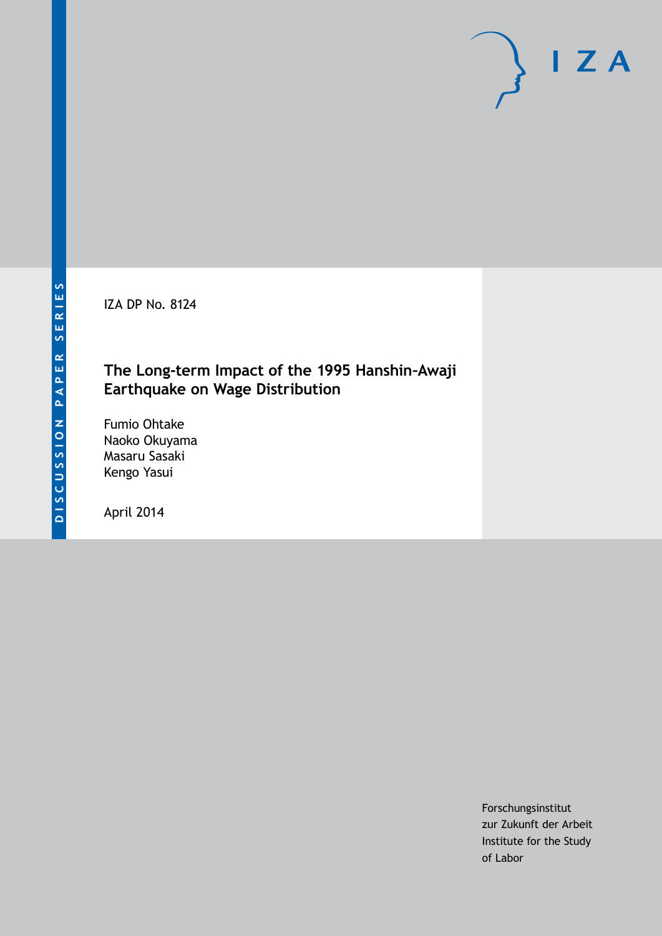IZA DP No. 8124

# **The Long-term Impact of the 1995 Hanshin–Awaji Earthquake on Wage Distribution**

Fumio Ohtake Naoko Okuyama Masaru Sasaki Kengo Yasui

April 2014

Forschungsinstitut zur Zukunft der Arbeit Institute for the Study of Labor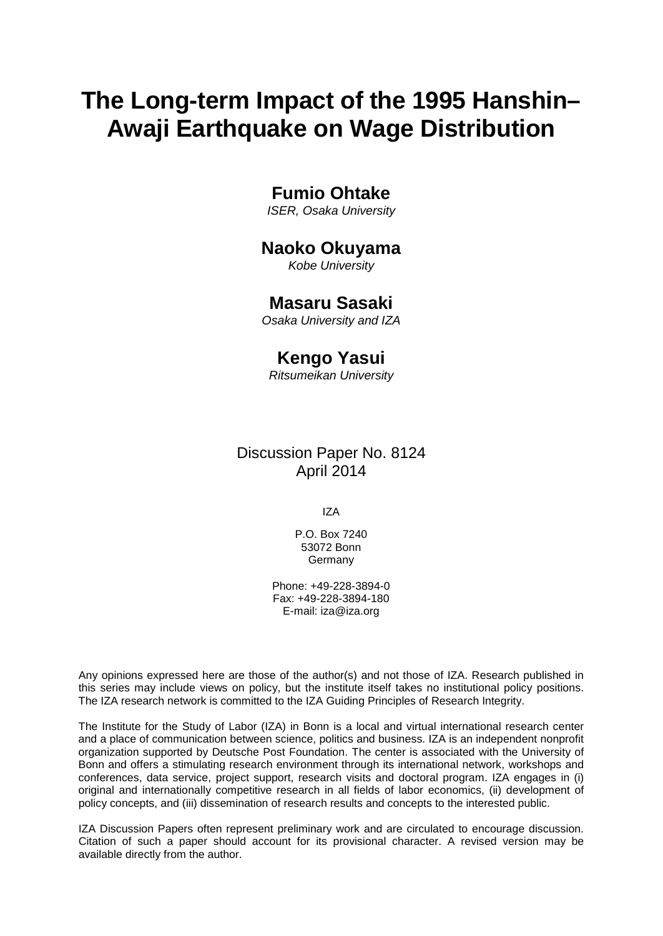# **The Long-term Impact of the 1995 Hanshin– Awaji Earthquake on Wage Distribution**

### **Fumio Ohtake**

*ISER, Osaka University*

### **Naoko Okuyama**

*Kobe University*

### **Masaru Sasaki**

*Osaka University and IZA*

### **Kengo Yasui**

*Ritsumeikan University*

### Discussion Paper No. 8124 April 2014

IZA

P.O. Box 7240 53072 Bonn Germany

Phone: +49-228-3894-0 Fax: +49-228-3894-180 E-mail: [iza@iza.org](mailto:iza@iza.org)

Any opinions expressed here are those of the author(s) and not those of IZA. Research published in this series may include views on policy, but the institute itself takes no institutional policy positions. The IZA research network is committed to the IZA Guiding Principles of Research Integrity.

The Institute for the Study of Labor (IZA) in Bonn is a local and virtual international research center and a place of communication between science, politics and business. IZA is an independent nonprofit organization supported by Deutsche Post Foundation. The center is associated with the University of Bonn and offers a stimulating research environment through its international network, workshops and conferences, data service, project support, research visits and doctoral program. IZA engages in (i) original and internationally competitive research in all fields of labor economics, (ii) development of policy concepts, and (iii) dissemination of research results and concepts to the interested public.

<span id="page-1-0"></span>IZA Discussion Papers often represent preliminary work and are circulated to encourage discussion. Citation of such a paper should account for its provisional character. A revised version may be available directly from the author.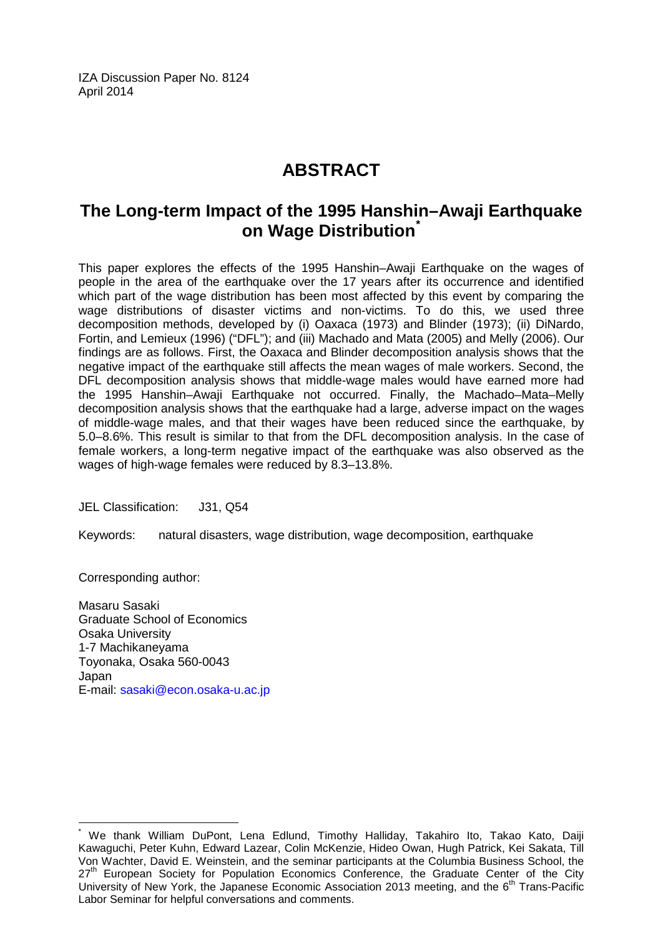IZA Discussion Paper No. 8124 April 2014

# **ABSTRACT**

# **The Long-term Impact of the 1995 Hanshin–Awaji Earthquake on Wage Distribution[\\*](#page-1-0)**

This paper explores the effects of the 1995 Hanshin–Awaji Earthquake on the wages of people in the area of the earthquake over the 17 years after its occurrence and identified which part of the wage distribution has been most affected by this event by comparing the wage distributions of disaster victims and non-victims. To do this, we used three decomposition methods, developed by (i) Oaxaca (1973) and Blinder (1973); (ii) DiNardo, Fortin, and Lemieux (1996) ("DFL"); and (iii) Machado and Mata (2005) and Melly (2006). Our findings are as follows. First, the Oaxaca and Blinder decomposition analysis shows that the negative impact of the earthquake still affects the mean wages of male workers. Second, the DFL decomposition analysis shows that middle-wage males would have earned more had the 1995 Hanshin–Awaji Earthquake not occurred. Finally, the Machado–Mata–Melly decomposition analysis shows that the earthquake had a large, adverse impact on the wages of middle-wage males, and that their wages have been reduced since the earthquake, by 5.0–8.6%. This result is similar to that from the DFL decomposition analysis. In the case of female workers, a long-term negative impact of the earthquake was also observed as the wages of high-wage females were reduced by 8.3–13.8%.

JEL Classification: J31, Q54

Keywords: natural disasters, wage distribution, wage decomposition, earthquake

Corresponding author:

Masaru Sasaki Graduate School of Economics Osaka University 1-7 Machikaneyama Toyonaka, Osaka 560-0043 Japan E-mail: [sasaki@econ.osaka-u.ac.jp](mailto:sasaki@econ.osaka-u.ac.jp)

We thank William DuPont, Lena Edlund, Timothy Halliday, Takahiro Ito, Takao Kato, Daiji Kawaguchi, Peter Kuhn, Edward Lazear, Colin McKenzie, Hideo Owan, Hugh Patrick, Kei Sakata, Till Von Wachter, David E. Weinstein, and the seminar participants at the Columbia Business School, the 27<sup>th</sup> European Society for Population Economics Conference, the Graduate Center of the City University of New York, the Japanese Economic Association 2013 meeting, and the  $6<sup>th</sup>$  Trans-Pacific Labor Seminar for helpful conversations and comments.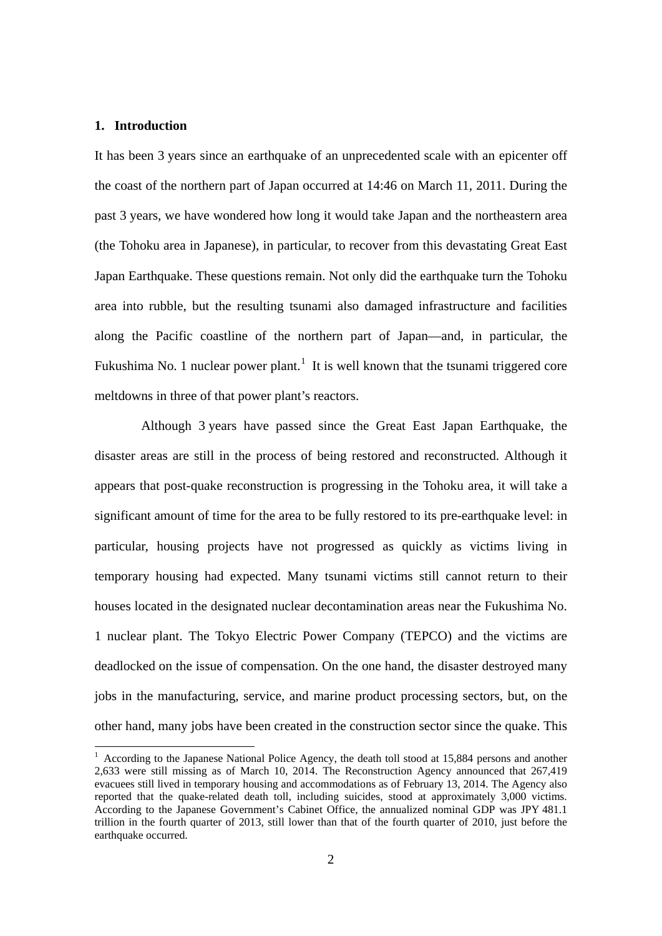#### **1. Introduction**

It has been 3 years since an earthquake of an unprecedented scale with an epicenter off the coast of the northern part of Japan occurred at 14:46 on March 11, 2011. During the past 3 years, we have wondered how long it would take Japan and the northeastern area (the Tohoku area in Japanese), in particular, to recover from this devastating Great East Japan Earthquake. These questions remain. Not only did the earthquake turn the Tohoku area into rubble, but the resulting tsunami also damaged infrastructure and facilities along the Pacific coastline of the northern part of Japan—and, in particular, the Fukushima No. [1](#page-3-0) nuclear power plant.<sup>1</sup> It is well known that the tsunami triggered core meltdowns in three of that power plant's reactors.

Although 3 years have passed since the Great East Japan Earthquake, the disaster areas are still in the process of being restored and reconstructed. Although it appears that post-quake reconstruction is progressing in the Tohoku area, it will take a significant amount of time for the area to be fully restored to its pre-earthquake level: in particular, housing projects have not progressed as quickly as victims living in temporary housing had expected. Many tsunami victims still cannot return to their houses located in the designated nuclear decontamination areas near the Fukushima No. 1 nuclear plant. The Tokyo Electric Power Company (TEPCO) and the victims are deadlocked on the issue of compensation. On the one hand, the disaster destroyed many jobs in the manufacturing, service, and marine product processing sectors, but, on the other hand, many jobs have been created in the construction sector since the quake. This

<span id="page-3-0"></span><sup>&</sup>lt;sup>1</sup> According to the Japanese National Police Agency, the death toll stood at 15,884 persons and another 2,633 were still missing as of March 10, 2014. The Reconstruction Agency announced that 267,419 evacuees still lived in temporary housing and accommodations as of February 13, 2014. The Agency also reported that the quake-related death toll, including suicides, stood at approximately 3,000 victims. According to the Japanese Government's Cabinet Office, the annualized nominal GDP was JPY 481.1 trillion in the fourth quarter of 2013, still lower than that of the fourth quarter of 2010, just before the earthquake occurred.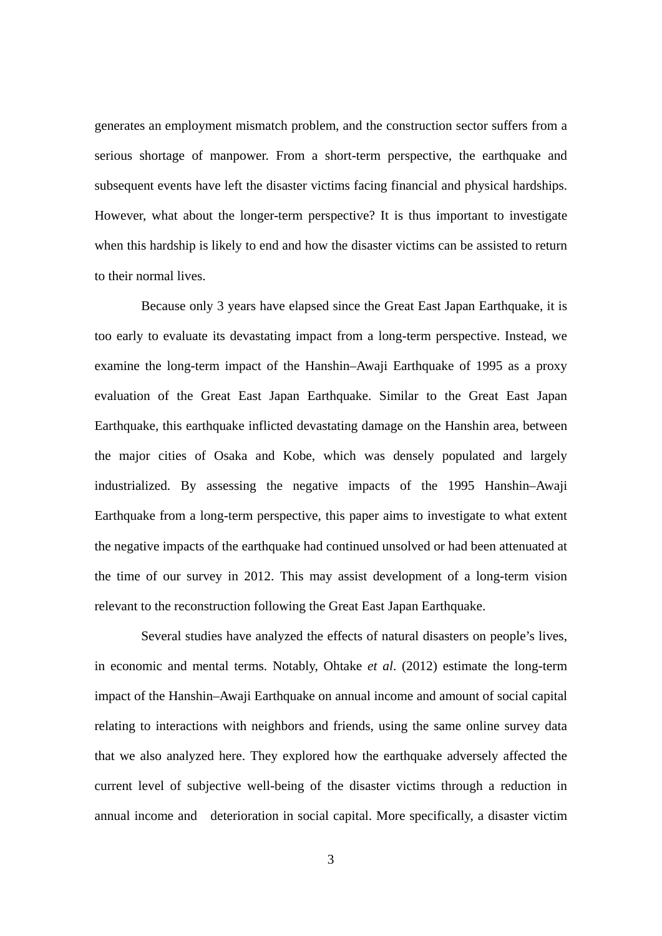generates an employment mismatch problem, and the construction sector suffers from a serious shortage of manpower. From a short-term perspective, the earthquake and subsequent events have left the disaster victims facing financial and physical hardships. However, what about the longer-term perspective? It is thus important to investigate when this hardship is likely to end and how the disaster victims can be assisted to return to their normal lives.

Because only 3 years have elapsed since the Great East Japan Earthquake, it is too early to evaluate its devastating impact from a long-term perspective. Instead, we examine the long-term impact of the Hanshin–Awaji Earthquake of 1995 as a proxy evaluation of the Great East Japan Earthquake. Similar to the Great East Japan Earthquake, this earthquake inflicted devastating damage on the Hanshin area, between the major cities of Osaka and Kobe, which was densely populated and largely industrialized. By assessing the negative impacts of the 1995 Hanshin–Awaji Earthquake from a long-term perspective, this paper aims to investigate to what extent the negative impacts of the earthquake had continued unsolved or had been attenuated at the time of our survey in 2012. This may assist development of a long-term vision relevant to the reconstruction following the Great East Japan Earthquake.

Several studies have analyzed the effects of natural disasters on people's lives, in economic and mental terms. Notably, Ohtake *et al*. (2012) estimate the long-term impact of the Hanshin–Awaji Earthquake on annual income and amount of social capital relating to interactions with neighbors and friends, using the same online survey data that we also analyzed here. They explored how the earthquake adversely affected the current level of subjective well-being of the disaster victims through a reduction in annual income and deterioration in social capital. More specifically, a disaster victim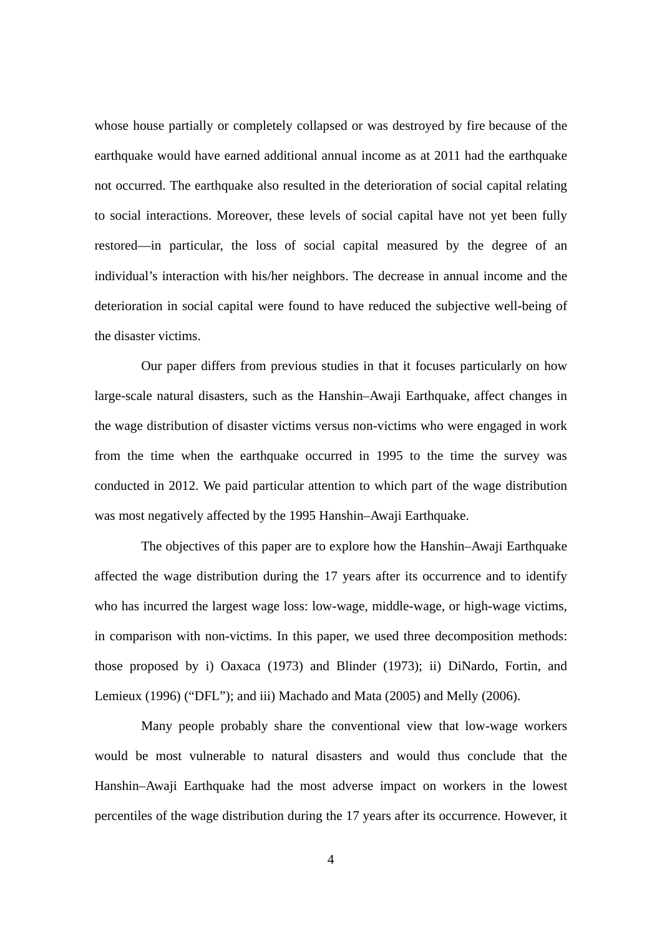whose house partially or completely collapsed or was destroyed by fire because of the earthquake would have earned additional annual income as at 2011 had the earthquake not occurred. The earthquake also resulted in the deterioration of social capital relating to social interactions. Moreover, these levels of social capital have not yet been fully restored—in particular, the loss of social capital measured by the degree of an individual's interaction with his/her neighbors. The decrease in annual income and the deterioration in social capital were found to have reduced the subjective well-being of the disaster victims.

Our paper differs from previous studies in that it focuses particularly on how large-scale natural disasters, such as the Hanshin–Awaji Earthquake, affect changes in the wage distribution of disaster victims versus non-victims who were engaged in work from the time when the earthquake occurred in 1995 to the time the survey was conducted in 2012. We paid particular attention to which part of the wage distribution was most negatively affected by the 1995 Hanshin–Awaji Earthquake.

The objectives of this paper are to explore how the Hanshin–Awaji Earthquake affected the wage distribution during the 17 years after its occurrence and to identify who has incurred the largest wage loss: low-wage, middle-wage, or high-wage victims, in comparison with non-victims. In this paper, we used three decomposition methods: those proposed by i) Oaxaca (1973) and Blinder (1973); ii) DiNardo, Fortin, and Lemieux (1996) ("DFL"); and iii) Machado and Mata (2005) and Melly (2006).

Many people probably share the conventional view that low-wage workers would be most vulnerable to natural disasters and would thus conclude that the Hanshin–Awaji Earthquake had the most adverse impact on workers in the lowest percentiles of the wage distribution during the 17 years after its occurrence. However, it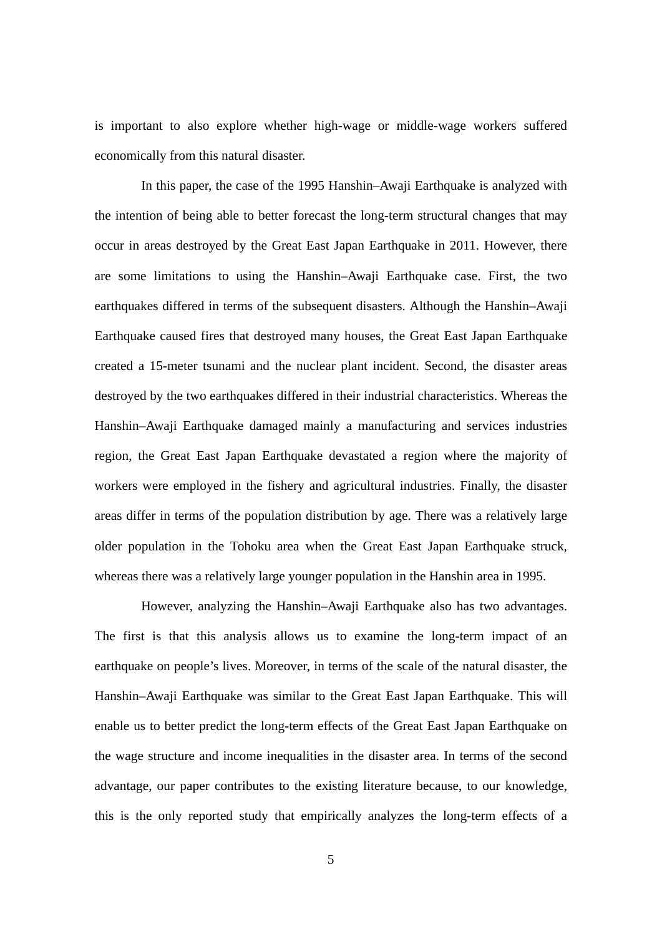is important to also explore whether high-wage or middle-wage workers suffered economically from this natural disaster.

In this paper, the case of the 1995 Hanshin–Awaji Earthquake is analyzed with the intention of being able to better forecast the long-term structural changes that may occur in areas destroyed by the Great East Japan Earthquake in 2011. However, there are some limitations to using the Hanshin–Awaji Earthquake case. First, the two earthquakes differed in terms of the subsequent disasters. Although the Hanshin–Awaji Earthquake caused fires that destroyed many houses, the Great East Japan Earthquake created a 15-meter tsunami and the nuclear plant incident. Second, the disaster areas destroyed by the two earthquakes differed in their industrial characteristics. Whereas the Hanshin–Awaji Earthquake damaged mainly a manufacturing and services industries region, the Great East Japan Earthquake devastated a region where the majority of workers were employed in the fishery and agricultural industries. Finally, the disaster areas differ in terms of the population distribution by age. There was a relatively large older population in the Tohoku area when the Great East Japan Earthquake struck, whereas there was a relatively large younger population in the Hanshin area in 1995.

However, analyzing the Hanshin–Awaji Earthquake also has two advantages. The first is that this analysis allows us to examine the long-term impact of an earthquake on people's lives. Moreover, in terms of the scale of the natural disaster, the Hanshin–Awaji Earthquake was similar to the Great East Japan Earthquake. This will enable us to better predict the long-term effects of the Great East Japan Earthquake on the wage structure and income inequalities in the disaster area. In terms of the second advantage, our paper contributes to the existing literature because, to our knowledge, this is the only reported study that empirically analyzes the long-term effects of a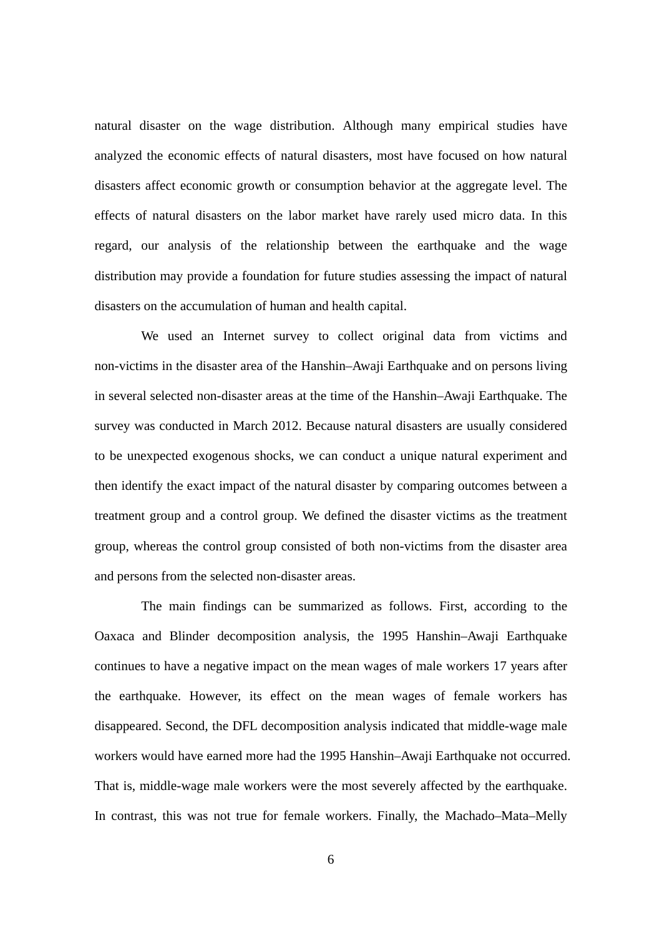natural disaster on the wage distribution. Although many empirical studies have analyzed the economic effects of natural disasters, most have focused on how natural disasters affect economic growth or consumption behavior at the aggregate level. The effects of natural disasters on the labor market have rarely used micro data. In this regard, our analysis of the relationship between the earthquake and the wage distribution may provide a foundation for future studies assessing the impact of natural disasters on the accumulation of human and health capital.

We used an Internet survey to collect original data from victims and non-victims in the disaster area of the Hanshin–Awaji Earthquake and on persons living in several selected non-disaster areas at the time of the Hanshin–Awaji Earthquake. The survey was conducted in March 2012. Because natural disasters are usually considered to be unexpected exogenous shocks, we can conduct a unique natural experiment and then identify the exact impact of the natural disaster by comparing outcomes between a treatment group and a control group. We defined the disaster victims as the treatment group, whereas the control group consisted of both non-victims from the disaster area and persons from the selected non-disaster areas.

The main findings can be summarized as follows. First, according to the Oaxaca and Blinder decomposition analysis, the 1995 Hanshin–Awaji Earthquake continues to have a negative impact on the mean wages of male workers 17 years after the earthquake. However, its effect on the mean wages of female workers has disappeared. Second, the DFL decomposition analysis indicated that middle-wage male workers would have earned more had the 1995 Hanshin–Awaji Earthquake not occurred. That is, middle-wage male workers were the most severely affected by the earthquake. In contrast, this was not true for female workers. Finally, the Machado–Mata–Melly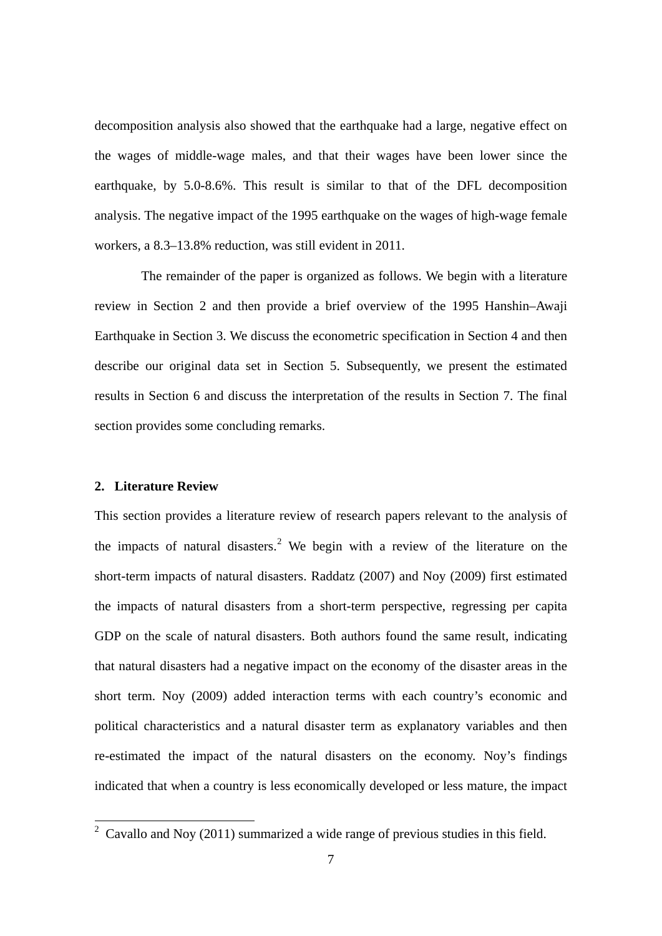decomposition analysis also showed that the earthquake had a large, negative effect on the wages of middle-wage males, and that their wages have been lower since the earthquake, by 5.0-8.6%. This result is similar to that of the DFL decomposition analysis. The negative impact of the 1995 earthquake on the wages of high-wage female workers, a 8.3–13.8% reduction, was still evident in 2011.

The remainder of the paper is organized as follows. We begin with a literature review in Section 2 and then provide a brief overview of the 1995 Hanshin–Awaji Earthquake in Section 3. We discuss the econometric specification in Section 4 and then describe our original data set in Section 5. Subsequently, we present the estimated results in Section 6 and discuss the interpretation of the results in Section 7. The final section provides some concluding remarks.

#### **2. Literature Review**

This section provides a literature review of research papers relevant to the analysis of the impacts of natural disasters.<sup>[2](#page-8-0)</sup> We begin with a review of the literature on the short-term impacts of natural disasters. Raddatz (2007) and Noy (2009) first estimated the impacts of natural disasters from a short-term perspective, regressing per capita GDP on the scale of natural disasters. Both authors found the same result, indicating that natural disasters had a negative impact on the economy of the disaster areas in the short term. Noy (2009) added interaction terms with each country's economic and political characteristics and a natural disaster term as explanatory variables and then re-estimated the impact of the natural disasters on the economy. Noy's findings indicated that when a country is less economically developed or less mature, the impact

<span id="page-8-0"></span> $2$  Cavallo and Noy (2011) summarized a wide range of previous studies in this field.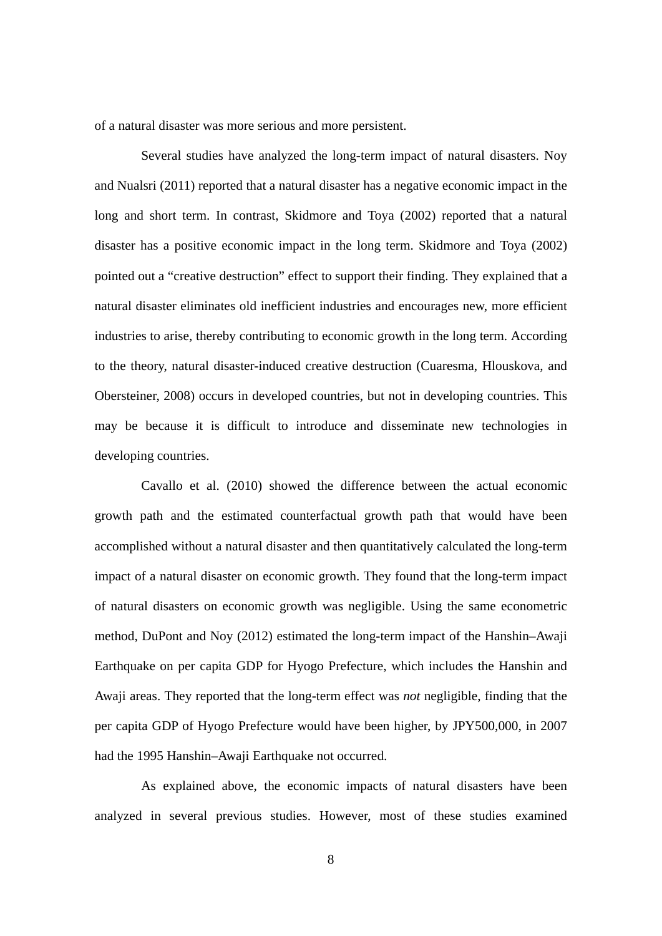of a natural disaster was more serious and more persistent.

Several studies have analyzed the long-term impact of natural disasters. Noy and Nualsri (2011) reported that a natural disaster has a negative economic impact in the long and short term. In contrast, Skidmore and Toya (2002) reported that a natural disaster has a positive economic impact in the long term. Skidmore and Toya (2002) pointed out a "creative destruction" effect to support their finding. They explained that a natural disaster eliminates old inefficient industries and encourages new, more efficient industries to arise, thereby contributing to economic growth in the long term. According to the theory, natural disaster-induced creative destruction (Cuaresma, Hlouskova, and Obersteiner, 2008) occurs in developed countries, but not in developing countries. This may be because it is difficult to introduce and disseminate new technologies in developing countries.

Cavallo et al. (2010) showed the difference between the actual economic growth path and the estimated counterfactual growth path that would have been accomplished without a natural disaster and then quantitatively calculated the long-term impact of a natural disaster on economic growth. They found that the long-term impact of natural disasters on economic growth was negligible. Using the same econometric method, DuPont and Noy (2012) estimated the long-term impact of the Hanshin–Awaji Earthquake on per capita GDP for Hyogo Prefecture, which includes the Hanshin and Awaji areas. They reported that the long-term effect was *not* negligible, finding that the per capita GDP of Hyogo Prefecture would have been higher, by JPY500,000, in 2007 had the 1995 Hanshin–Awaji Earthquake not occurred.

As explained above, the economic impacts of natural disasters have been analyzed in several previous studies. However, most of these studies examined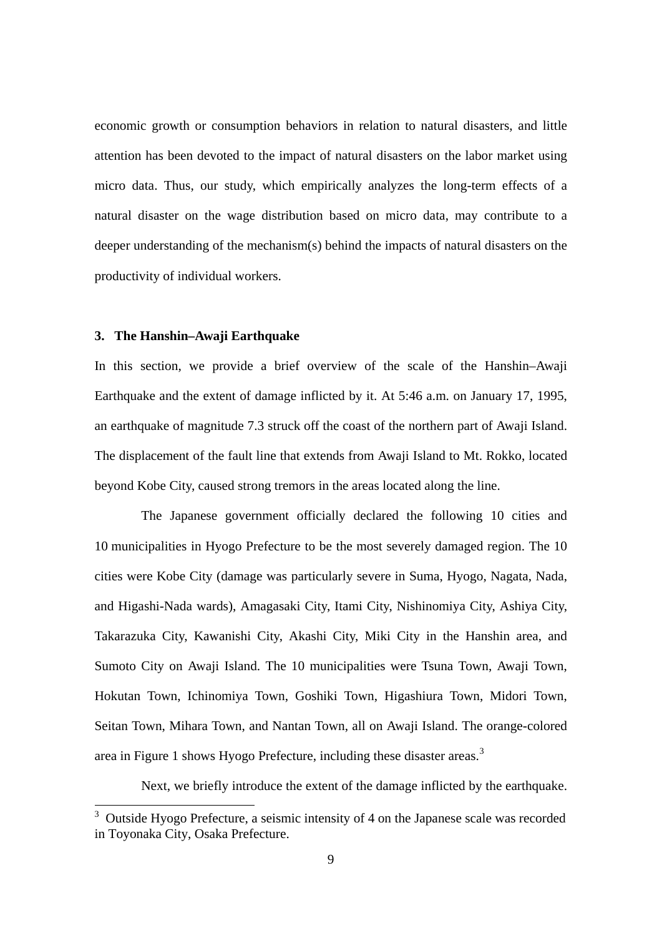economic growth or consumption behaviors in relation to natural disasters, and little attention has been devoted to the impact of natural disasters on the labor market using micro data. Thus, our study, which empirically analyzes the long-term effects of a natural disaster on the wage distribution based on micro data, may contribute to a deeper understanding of the mechanism(s) behind the impacts of natural disasters on the productivity of individual workers.

#### **3. The Hanshin–Awaji Earthquake**

In this section, we provide a brief overview of the scale of the Hanshin–Awaji Earthquake and the extent of damage inflicted by it. At 5:46 a.m. on January 17, 1995, an earthquake of magnitude 7.3 struck off the coast of the northern part of Awaji Island. The displacement of the fault line that extends from Awaji Island to Mt. Rokko, located beyond Kobe City, caused strong tremors in the areas located along the line.

The Japanese government officially declared the following 10 cities and 10 municipalities in Hyogo Prefecture to be the most severely damaged region. The 10 cities were Kobe City (damage was particularly severe in Suma, Hyogo, Nagata, Nada, and Higashi-Nada wards), Amagasaki City, Itami City, Nishinomiya City, Ashiya City, Takarazuka City, Kawanishi City, Akashi City, Miki City in the Hanshin area, and Sumoto City on Awaji Island. The 10 municipalities were Tsuna Town, Awaji Town, Hokutan Town, Ichinomiya Town, Goshiki Town, Higashiura Town, Midori Town, Seitan Town, Mihara Town, and Nantan Town, all on Awaji Island. The orange-colored area in Figure 1 shows Hyogo Prefecture, including these disaster areas.<sup>[3](#page-10-0)</sup>

Next, we briefly introduce the extent of the damage inflicted by the earthquake.

<span id="page-10-0"></span><sup>&</sup>lt;sup>3</sup> Outside Hyogo Prefecture, a seismic intensity of 4 on the Japanese scale was recorded in Toyonaka City, Osaka Prefecture.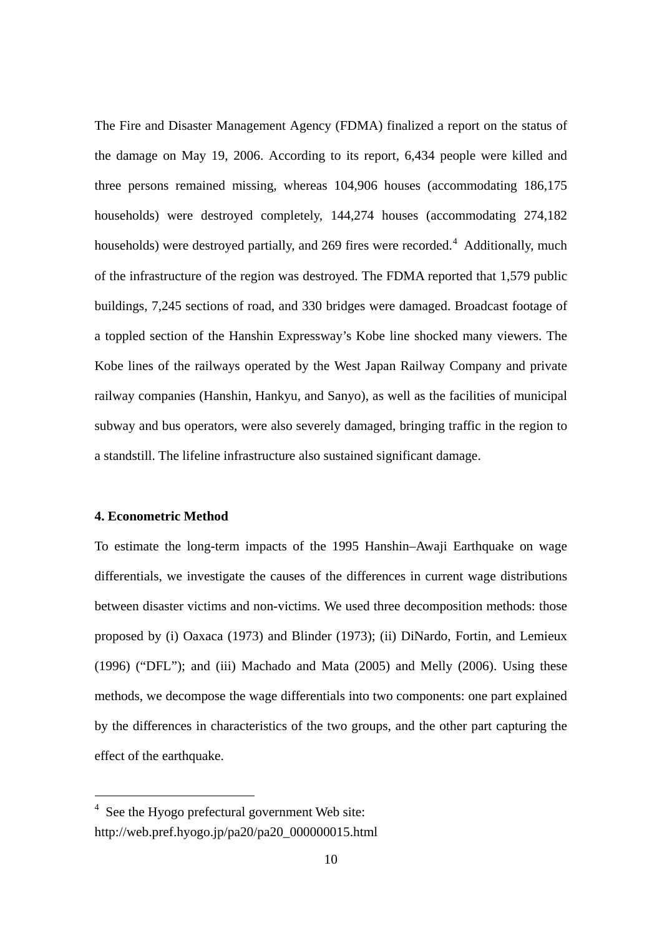The Fire and Disaster Management Agency (FDMA) finalized a report on the status of the damage on May 19, 2006. According to its report, 6,434 people were killed and three persons remained missing, whereas 104,906 houses (accommodating 186,175 households) were destroyed completely, 144,274 houses (accommodating 274,182 households) were destroyed partially, and 269 fires were recorded.<sup>[4](#page-11-0)</sup> Additionally, much of the infrastructure of the region was destroyed. The FDMA reported that 1,579 public buildings, 7,245 sections of road, and 330 bridges were damaged. Broadcast footage of a toppled section of the Hanshin Expressway's Kobe line shocked many viewers. The Kobe lines of the railways operated by the West Japan Railway Company and private railway companies (Hanshin, Hankyu, and Sanyo), as well as the facilities of municipal subway and bus operators, were also severely damaged, bringing traffic in the region to a standstill. The lifeline infrastructure also sustained significant damage.

#### **4. Econometric Method**

1

To estimate the long-term impacts of the 1995 Hanshin–Awaji Earthquake on wage differentials, we investigate the causes of the differences in current wage distributions between disaster victims and non-victims. We used three decomposition methods: those proposed by (i) Oaxaca (1973) and Blinder (1973); (ii) DiNardo, Fortin, and Lemieux  $(1996)$  ("DFL"); and  $(iii)$  Machado and Mata  $(2005)$  and Melly  $(2006)$ . Using these methods, we decompose the wage differentials into two components: one part explained by the differences in characteristics of the two groups, and the other part capturing the effect of the earthquake.

<span id="page-11-0"></span><sup>4</sup> See the Hyogo prefectural government Web site: http://web.pref.hyogo.jp/pa20/pa20\_000000015.html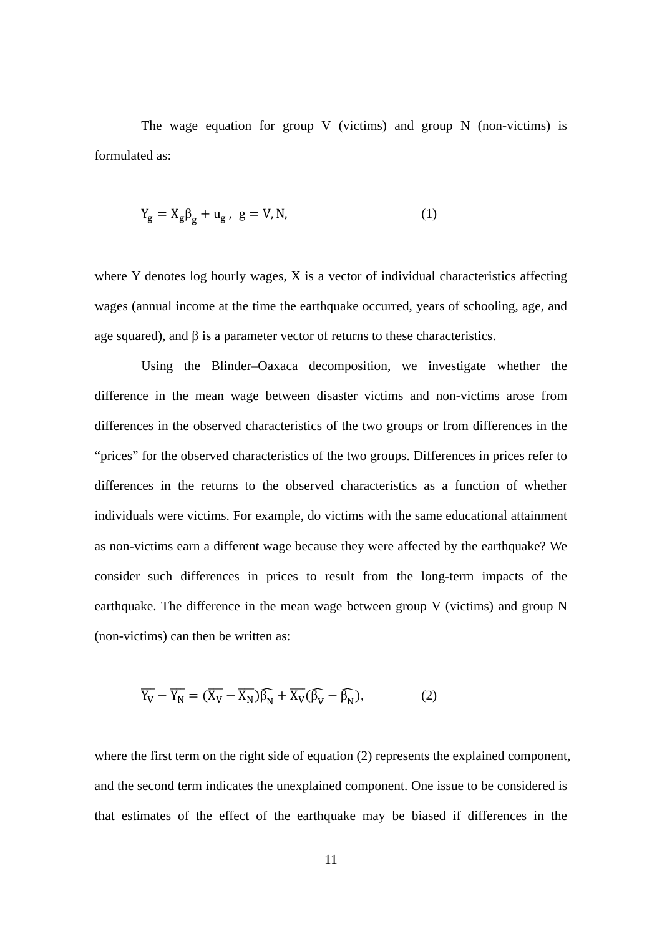The wage equation for group V (victims) and group N (non-victims) is formulated as:

$$
Y_g = X_g \beta_g + u_g, \ g = V, N,
$$
\n<sup>(1)</sup>

where Y denotes log hourly wages, X is a vector of individual characteristics affecting wages (annual income at the time the earthquake occurred, years of schooling, age, and age squared), and β is a parameter vector of returns to these characteristics.

Using the Blinder–Oaxaca decomposition, we investigate whether the difference in the mean wage between disaster victims and non-victims arose from differences in the observed characteristics of the two groups or from differences in the "prices" for the observed characteristics of the two groups. Differences in prices refer to differences in the returns to the observed characteristics as a function of whether individuals were victims. For example, do victims with the same educational attainment as non-victims earn a different wage because they were affected by the earthquake? We consider such differences in prices to result from the long-term impacts of the earthquake. The difference in the mean wage between group V (victims) and group N (non-victims) can then be written as:

$$
\overline{Y_V} - \overline{Y_N} = (\overline{X_V} - \overline{X_N})\widehat{\beta_N} + \overline{X_V}(\widehat{\beta_V} - \widehat{\beta_N}),
$$
 (2)

where the first term on the right side of equation (2) represents the explained component, and the second term indicates the unexplained component. One issue to be considered is that estimates of the effect of the earthquake may be biased if differences in the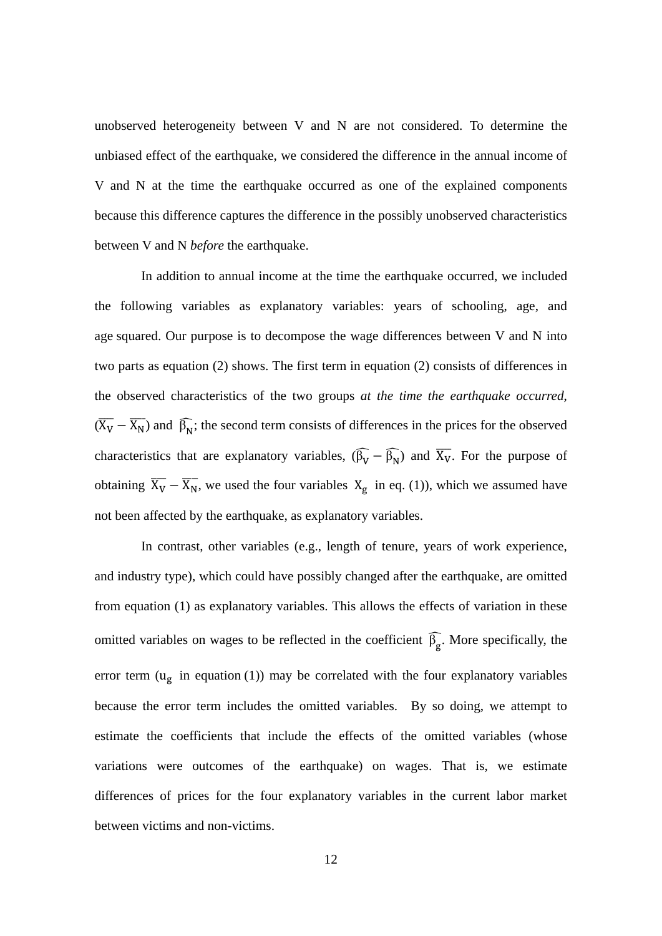unobserved heterogeneity between V and N are not considered. To determine the unbiased effect of the earthquake, we considered the difference in the annual income of V and N at the time the earthquake occurred as one of the explained components because this difference captures the difference in the possibly unobserved characteristics between V and N *before* the earthquake.

In addition to annual income at the time the earthquake occurred, we included the following variables as explanatory variables: years of schooling, age, and age squared. Our purpose is to decompose the wage differences between V and N into two parts as equation (2) shows. The first term in equation (2) consists of differences in the observed characteristics of the two groups *at the time the earthquake occurred*,  $(\overline{X_V} - \overline{X_N})$  and  $\hat{\beta_N}$ ; the second term consists of differences in the prices for the observed characteristics that are explanatory variables,  $(\hat{\beta}_{\overline{V}} - \hat{\beta}_{\overline{N}})$  and  $\overline{X}_{\overline{V}}$ . For the purpose of obtaining  $\overline{X_V} - \overline{X_N}$ , we used the four variables  $X_g$  in eq. (1)), which we assumed have not been affected by the earthquake, as explanatory variables.

In contrast, other variables (e.g., length of tenure, years of work experience, and industry type), which could have possibly changed after the earthquake, are omitted from equation (1) as explanatory variables. This allows the effects of variation in these omitted variables on wages to be reflected in the coefficient  $\beta_{\rm g}$ . More specifically, the error term  $(u_g$  in equation (1)) may be correlated with the four explanatory variables because the error term includes the omitted variables. By so doing, we attempt to estimate the coefficients that include the effects of the omitted variables (whose variations were outcomes of the earthquake) on wages. That is, we estimate differences of prices for the four explanatory variables in the current labor market between victims and non-victims.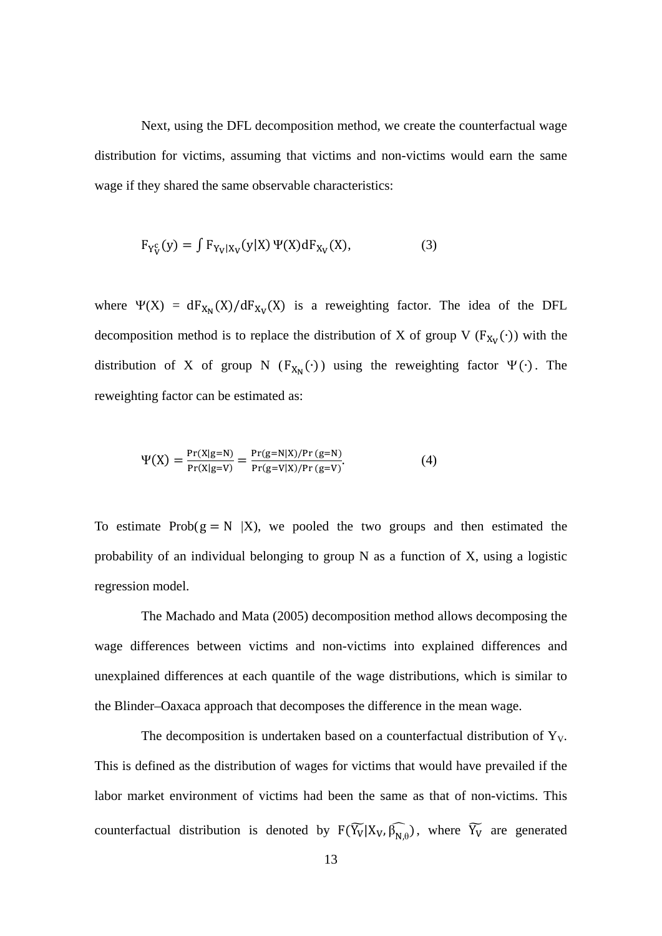Next, using the DFL decomposition method, we create the counterfactual wage distribution for victims, assuming that victims and non-victims would earn the same wage if they shared the same observable characteristics:

$$
F_{Y_V^c}(y) = \int F_{Y_V|X_V}(y|X) \Psi(X) dF_{X_V}(X), \tag{3}
$$

where  $\Psi(X) = dF_{X_N}(X)/dF_{X_V}(X)$  is a reweighting factor. The idea of the DFL decomposition method is to replace the distribution of X of group V ( $F_{X_V}(\cdot)$ ) with the distribution of X of group N ( $F_{X_N}(\cdot)$ ) using the reweighting factor  $\Psi(\cdot)$ . The reweighting factor can be estimated as:

$$
\Psi(X) = \frac{\Pr(X|g=N)}{\Pr(X|g=V)} = \frac{\Pr(g=N|X)/\Pr(g=N)}{\Pr(g=N|X)/\Pr(g=V)}.
$$
\n(4)

To estimate Prob( $g = N |X|$ ), we pooled the two groups and then estimated the probability of an individual belonging to group N as a function of X, using a logistic regression model.

The Machado and Mata (2005) decomposition method allows decomposing the wage differences between victims and non-victims into explained differences and unexplained differences at each quantile of the wage distributions, which is similar to the Blinder–Oaxaca approach that decomposes the difference in the mean wage.

The decomposition is undertaken based on a counterfactual distribution of  $Y_V$ . This is defined as the distribution of wages for victims that would have prevailed if the labor market environment of victims had been the same as that of non-victims. This counterfactual distribution is denoted by  $F(Y_V|X_V, \beta_{N,\theta})$ , where  $Y_V$  are generated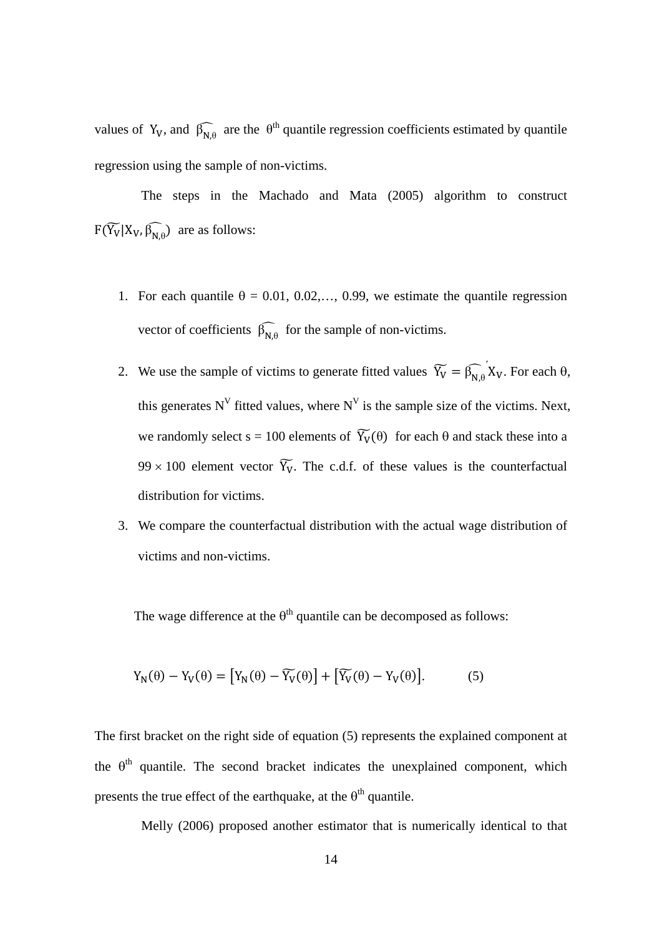values of Y<sub>V</sub>, and  $\widehat{\beta_{N,\theta}}$  are the  $\theta^{th}$  quantile regression coefficients estimated by quantile regression using the sample of non-victims.

The steps in the Machado and Mata (2005) algorithm to construct  $F(Y_V | X_V, \beta_{N,\theta})$  are as follows:

- 1. For each quantile  $\theta = 0.01, 0.02,..., 0.99$ , we estimate the quantile regression vector of coefficients  $\widehat{\beta_{N,\theta}}$  for the sample of non-victims.
- 2. We use the sample of victims to generate fitted values  $\widetilde{Y}_V = \widehat{\beta_{N,\theta}}' X_V$ . For each  $\theta$ , this generates  $N^V$  fitted values, where  $N^V$  is the sample size of the victims. Next, we randomly select  $s = 100$  elements of  $\widetilde{Y}_V(\theta)$  for each  $\theta$  and stack these into a  $99 \times 100$  element vector  $\widetilde{Y}_V$ . The c.d.f. of these values is the counterfactual distribution for victims.
- 3. We compare the counterfactual distribution with the actual wage distribution of victims and non-victims.

The wage difference at the  $\theta^{th}$  quantile can be decomposed as follows:

$$
Y_N(\theta) - Y_V(\theta) = [Y_N(\theta) - \widetilde{Y_V}(\theta)] + [\widetilde{Y_V}(\theta) - Y_V(\theta)].
$$
 (5)

The first bracket on the right side of equation (5) represents the explained component at the  $\theta^{th}$  quantile. The second bracket indicates the unexplained component, which presents the true effect of the earthquake, at the  $\theta^{th}$  quantile.

Melly (2006) proposed another estimator that is numerically identical to that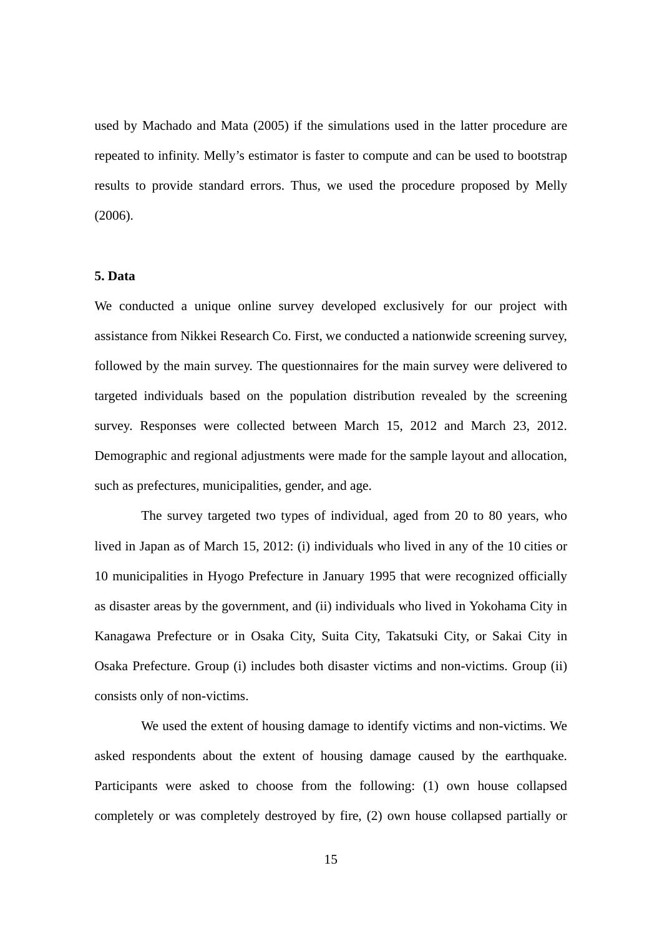used by Machado and Mata (2005) if the simulations used in the latter procedure are repeated to infinity. Melly's estimator is faster to compute and can be used to bootstrap results to provide standard errors. Thus, we used the procedure proposed by Melly (2006).

#### **5. Data**

We conducted a unique online survey developed exclusively for our project with assistance from Nikkei Research Co. First, we conducted a nationwide screening survey, followed by the main survey. The questionnaires for the main survey were delivered to targeted individuals based on the population distribution revealed by the screening survey. Responses were collected between March 15, 2012 and March 23, 2012. Demographic and regional adjustments were made for the sample layout and allocation, such as prefectures, municipalities, gender, and age.

The survey targeted two types of individual, aged from 20 to 80 years, who lived in Japan as of March 15, 2012: (i) individuals who lived in any of the 10 cities or 10 municipalities in Hyogo Prefecture in January 1995 that were recognized officially as disaster areas by the government, and (ii) individuals who lived in Yokohama City in Kanagawa Prefecture or in Osaka City, Suita City, Takatsuki City, or Sakai City in Osaka Prefecture. Group (i) includes both disaster victims and non-victims. Group (ii) consists only of non-victims.

We used the extent of housing damage to identify victims and non-victims. We asked respondents about the extent of housing damage caused by the earthquake. Participants were asked to choose from the following: (1) own house collapsed completely or was completely destroyed by fire, (2) own house collapsed partially or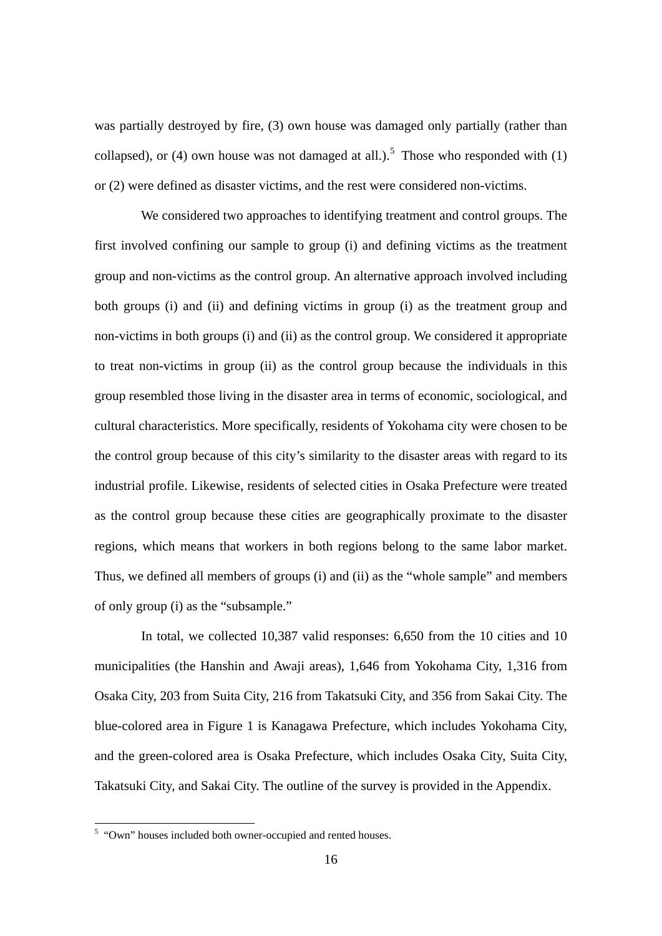was partially destroyed by fire, (3) own house was damaged only partially (rather than collapsed), or (4) own house was not damaged at all.).<sup>[5](#page-17-0)</sup> Those who responded with  $(1)$ or (2) were defined as disaster victims, and the rest were considered non-victims.

We considered two approaches to identifying treatment and control groups. The first involved confining our sample to group (i) and defining victims as the treatment group and non-victims as the control group. An alternative approach involved including both groups (i) and (ii) and defining victims in group (i) as the treatment group and non-victims in both groups (i) and (ii) as the control group. We considered it appropriate to treat non-victims in group (ii) as the control group because the individuals in this group resembled those living in the disaster area in terms of economic, sociological, and cultural characteristics. More specifically, residents of Yokohama city were chosen to be the control group because of this city's similarity to the disaster areas with regard to its industrial profile. Likewise, residents of selected cities in Osaka Prefecture were treated as the control group because these cities are geographically proximate to the disaster regions, which means that workers in both regions belong to the same labor market. Thus, we defined all members of groups (i) and (ii) as the "whole sample" and members of only group (i) as the "subsample."

In total, we collected 10,387 valid responses: 6,650 from the 10 cities and 10 municipalities (the Hanshin and Awaji areas), 1,646 from Yokohama City, 1,316 from Osaka City, 203 from Suita City, 216 from Takatsuki City, and 356 from Sakai City. The blue-colored area in Figure 1 is Kanagawa Prefecture, which includes Yokohama City, and the green-colored area is Osaka Prefecture, which includes Osaka City, Suita City, Takatsuki City, and Sakai City. The outline of the survey is provided in the Appendix.

<span id="page-17-0"></span><sup>5</sup> "Own" houses included both owner-occupied and rented houses.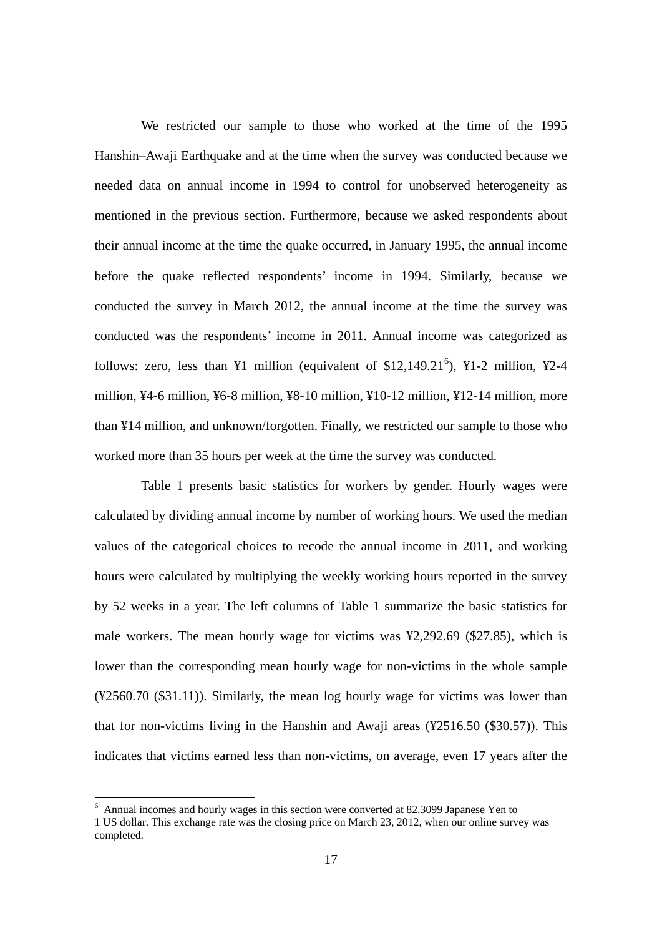We restricted our sample to those who worked at the time of the 1995 Hanshin–Awaji Earthquake and at the time when the survey was conducted because we needed data on annual income in 1994 to control for unobserved heterogeneity as mentioned in the previous section. Furthermore, because we asked respondents about their annual income at the time the quake occurred, in January 1995, the annual income before the quake reflected respondents' income in 1994. Similarly, because we conducted the survey in March 2012, the annual income at the time the survey was conducted was the respondents' income in 2011. Annual income was categorized as follows: zero, less than ¥1 million (equivalent of \$12,149.21<sup>[6](#page-18-0)</sup>), ¥1-2 million, ¥2-4 million,  $\frac{1}{4}$ -6 million,  $\frac{1}{4}$ 6-8 million,  $\frac{1}{4}$ 8-10 million,  $\frac{1}{4}$  million,  $\frac{1}{4}$  million, more than ¥14 million, and unknown/forgotten. Finally, we restricted our sample to those who worked more than 35 hours per week at the time the survey was conducted.

Table 1 presents basic statistics for workers by gender. Hourly wages were calculated by dividing annual income by number of working hours. We used the median values of the categorical choices to recode the annual income in 2011, and working hours were calculated by multiplying the weekly working hours reported in the survey by 52 weeks in a year. The left columns of Table 1 summarize the basic statistics for male workers. The mean hourly wage for victims was ¥2,292.69 (\$27.85), which is lower than the corresponding mean hourly wage for non-victims in the whole sample (¥2560.70 (\$31.11)). Similarly, the mean log hourly wage for victims was lower than that for non-victims living in the Hanshin and Awaii areas  $(\frac{42516.50}{\$30.57})$ . This indicates that victims earned less than non-victims, on average, even 17 years after the

<span id="page-18-0"></span> $6$  Annual incomes and hourly wages in this section were converted at 82.3099 Japanese Yen to

<sup>1</sup> US dollar. This exchange rate was the closing price on March 23, 2012, when our online survey was completed.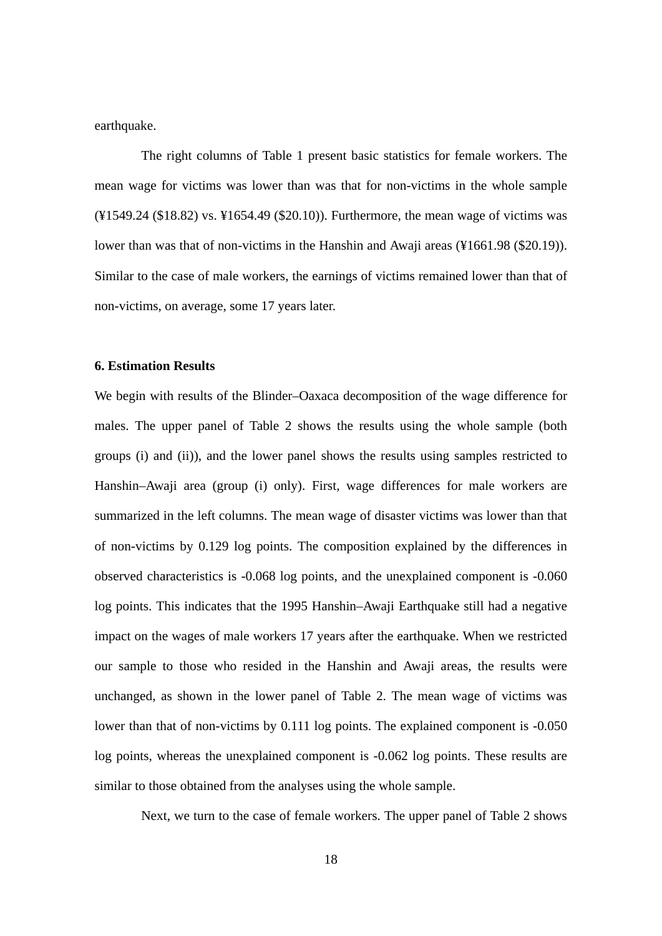earthquake.

The right columns of Table 1 present basic statistics for female workers. The mean wage for victims was lower than was that for non-victims in the whole sample (¥1549.24 (\$18.82) vs. ¥1654.49 (\$20.10)). Furthermore, the mean wage of victims was lower than was that of non-victims in the Hanshin and Awaji areas (¥1661.98 (\$20.19)). Similar to the case of male workers, the earnings of victims remained lower than that of non-victims, on average, some 17 years later.

#### **6. Estimation Results**

We begin with results of the Blinder–Oaxaca decomposition of the wage difference for males. The upper panel of Table 2 shows the results using the whole sample (both groups (i) and (ii)), and the lower panel shows the results using samples restricted to Hanshin–Awaji area (group (i) only). First, wage differences for male workers are summarized in the left columns. The mean wage of disaster victims was lower than that of non-victims by 0.129 log points. The composition explained by the differences in observed characteristics is -0.068 log points, and the unexplained component is -0.060 log points. This indicates that the 1995 Hanshin–Awaji Earthquake still had a negative impact on the wages of male workers 17 years after the earthquake. When we restricted our sample to those who resided in the Hanshin and Awaji areas, the results were unchanged, as shown in the lower panel of Table 2. The mean wage of victims was lower than that of non-victims by 0.111 log points. The explained component is -0.050 log points, whereas the unexplained component is -0.062 log points. These results are similar to those obtained from the analyses using the whole sample.

Next, we turn to the case of female workers. The upper panel of Table 2 shows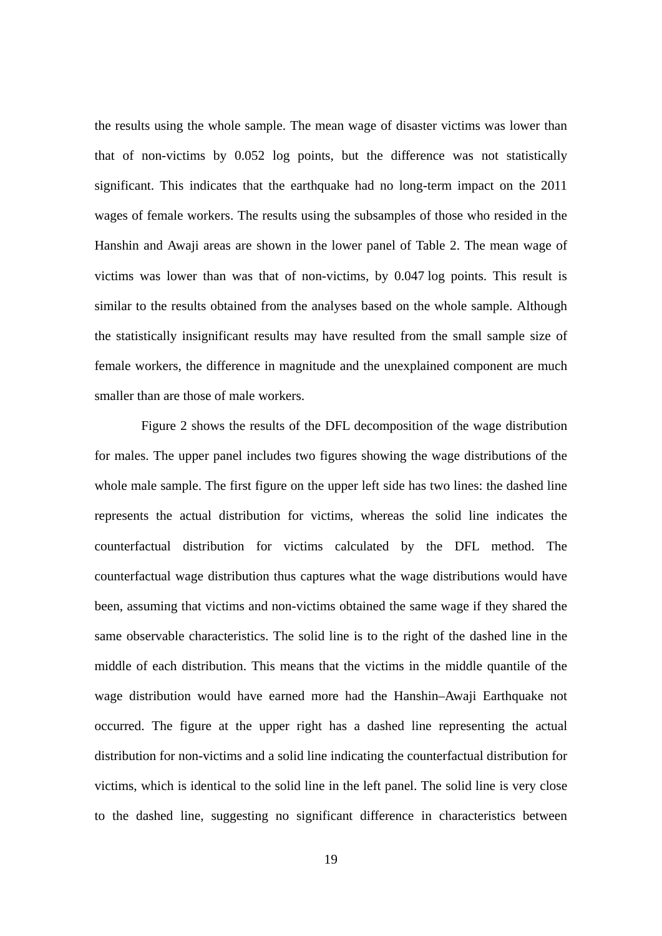the results using the whole sample. The mean wage of disaster victims was lower than that of non-victims by 0.052 log points, but the difference was not statistically significant. This indicates that the earthquake had no long-term impact on the 2011 wages of female workers. The results using the subsamples of those who resided in the Hanshin and Awaji areas are shown in the lower panel of Table 2. The mean wage of victims was lower than was that of non-victims, by 0.047 log points. This result is similar to the results obtained from the analyses based on the whole sample. Although the statistically insignificant results may have resulted from the small sample size of female workers, the difference in magnitude and the unexplained component are much smaller than are those of male workers.

Figure 2 shows the results of the DFL decomposition of the wage distribution for males. The upper panel includes two figures showing the wage distributions of the whole male sample. The first figure on the upper left side has two lines: the dashed line represents the actual distribution for victims, whereas the solid line indicates the counterfactual distribution for victims calculated by the DFL method. The counterfactual wage distribution thus captures what the wage distributions would have been, assuming that victims and non-victims obtained the same wage if they shared the same observable characteristics. The solid line is to the right of the dashed line in the middle of each distribution. This means that the victims in the middle quantile of the wage distribution would have earned more had the Hanshin–Awaji Earthquake not occurred. The figure at the upper right has a dashed line representing the actual distribution for non-victims and a solid line indicating the counterfactual distribution for victims, which is identical to the solid line in the left panel. The solid line is very close to the dashed line, suggesting no significant difference in characteristics between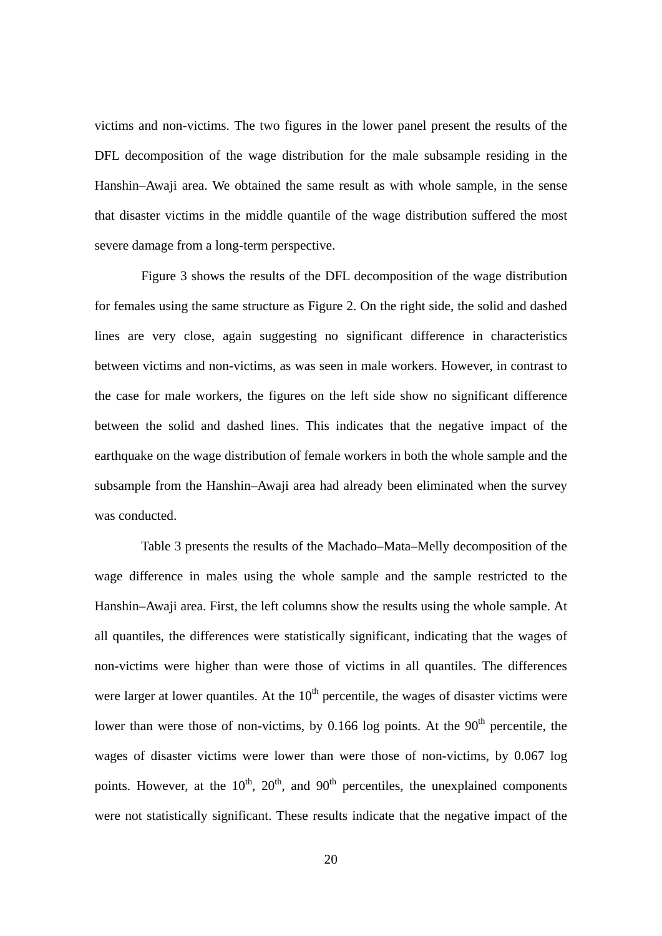victims and non-victims. The two figures in the lower panel present the results of the DFL decomposition of the wage distribution for the male subsample residing in the Hanshin–Awaji area. We obtained the same result as with whole sample, in the sense that disaster victims in the middle quantile of the wage distribution suffered the most severe damage from a long-term perspective.

Figure 3 shows the results of the DFL decomposition of the wage distribution for females using the same structure as Figure 2. On the right side, the solid and dashed lines are very close, again suggesting no significant difference in characteristics between victims and non-victims, as was seen in male workers. However, in contrast to the case for male workers, the figures on the left side show no significant difference between the solid and dashed lines. This indicates that the negative impact of the earthquake on the wage distribution of female workers in both the whole sample and the subsample from the Hanshin–Awaji area had already been eliminated when the survey was conducted.

Table 3 presents the results of the Machado–Mata–Melly decomposition of the wage difference in males using the whole sample and the sample restricted to the Hanshin–Awaji area. First, the left columns show the results using the whole sample. At all quantiles, the differences were statistically significant, indicating that the wages of non-victims were higher than were those of victims in all quantiles. The differences were larger at lower quantiles. At the  $10<sup>th</sup>$  percentile, the wages of disaster victims were lower than were those of non-victims, by 0.166 log points. At the  $90<sup>th</sup>$  percentile, the wages of disaster victims were lower than were those of non-victims, by 0.067 log points. However, at the  $10^{th}$ ,  $20^{th}$ , and  $90^{th}$  percentiles, the unexplained components were not statistically significant. These results indicate that the negative impact of the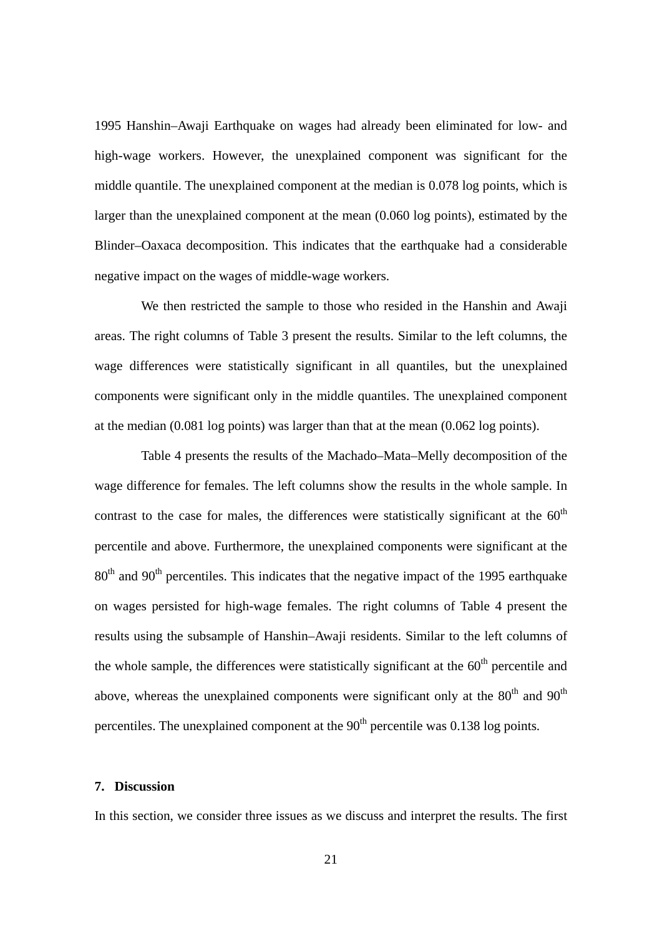1995 Hanshin–Awaji Earthquake on wages had already been eliminated for low- and high-wage workers. However, the unexplained component was significant for the middle quantile. The unexplained component at the median is 0.078 log points, which is larger than the unexplained component at the mean (0.060 log points), estimated by the Blinder–Oaxaca decomposition. This indicates that the earthquake had a considerable negative impact on the wages of middle-wage workers.

We then restricted the sample to those who resided in the Hanshin and Awaji areas. The right columns of Table 3 present the results. Similar to the left columns, the wage differences were statistically significant in all quantiles, but the unexplained components were significant only in the middle quantiles. The unexplained component at the median (0.081 log points) was larger than that at the mean (0.062 log points).

Table 4 presents the results of the Machado–Mata–Melly decomposition of the wage difference for females. The left columns show the results in the whole sample. In contrast to the case for males, the differences were statistically significant at the  $60<sup>th</sup>$ percentile and above. Furthermore, the unexplained components were significant at the  $80<sup>th</sup>$  and  $90<sup>th</sup>$  percentiles. This indicates that the negative impact of the 1995 earthquake on wages persisted for high-wage females. The right columns of Table 4 present the results using the subsample of Hanshin–Awaji residents. Similar to the left columns of the whole sample, the differences were statistically significant at the  $60<sup>th</sup>$  percentile and above, whereas the unexplained components were significant only at the  $80<sup>th</sup>$  and  $90<sup>th</sup>$ percentiles. The unexplained component at the  $90<sup>th</sup>$  percentile was 0.138 log points.

#### **7. Discussion**

In this section, we consider three issues as we discuss and interpret the results. The first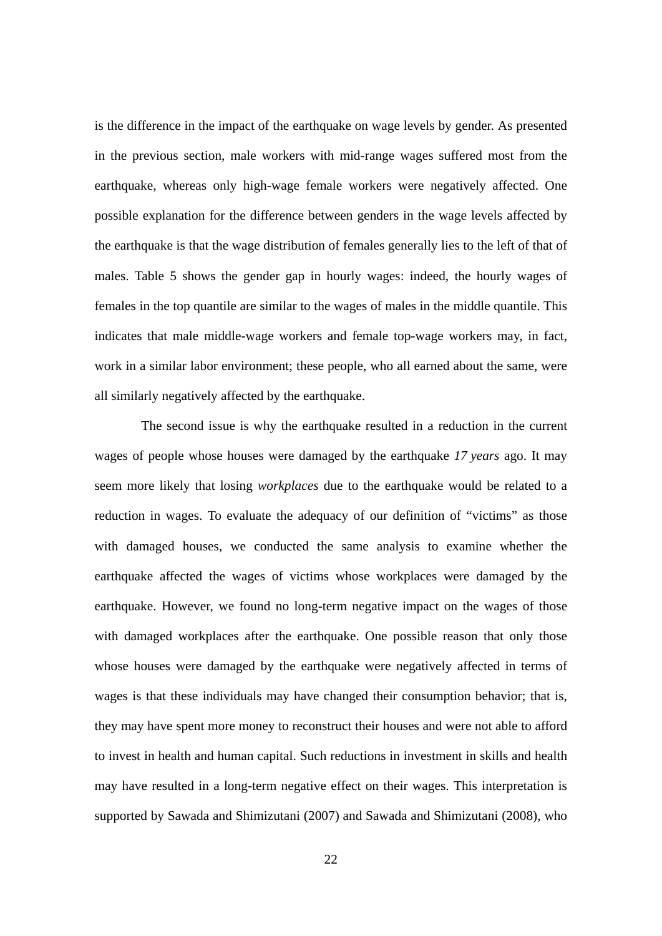is the difference in the impact of the earthquake on wage levels by gender. As presented in the previous section, male workers with mid-range wages suffered most from the earthquake, whereas only high-wage female workers were negatively affected. One possible explanation for the difference between genders in the wage levels affected by the earthquake is that the wage distribution of females generally lies to the left of that of males. Table 5 shows the gender gap in hourly wages: indeed, the hourly wages of females in the top quantile are similar to the wages of males in the middle quantile. This indicates that male middle-wage workers and female top-wage workers may, in fact, work in a similar labor environment; these people, who all earned about the same, were all similarly negatively affected by the earthquake.

The second issue is why the earthquake resulted in a reduction in the current wages of people whose houses were damaged by the earthquake *17 years* ago. It may seem more likely that losing *workplaces* due to the earthquake would be related to a reduction in wages. To evaluate the adequacy of our definition of "victims" as those with damaged houses, we conducted the same analysis to examine whether the earthquake affected the wages of victims whose workplaces were damaged by the earthquake. However, we found no long-term negative impact on the wages of those with damaged workplaces after the earthquake. One possible reason that only those whose houses were damaged by the earthquake were negatively affected in terms of wages is that these individuals may have changed their consumption behavior; that is, they may have spent more money to reconstruct their houses and were not able to afford to invest in health and human capital. Such reductions in investment in skills and health may have resulted in a long-term negative effect on their wages. This interpretation is supported by Sawada and Shimizutani (2007) and Sawada and Shimizutani (2008), who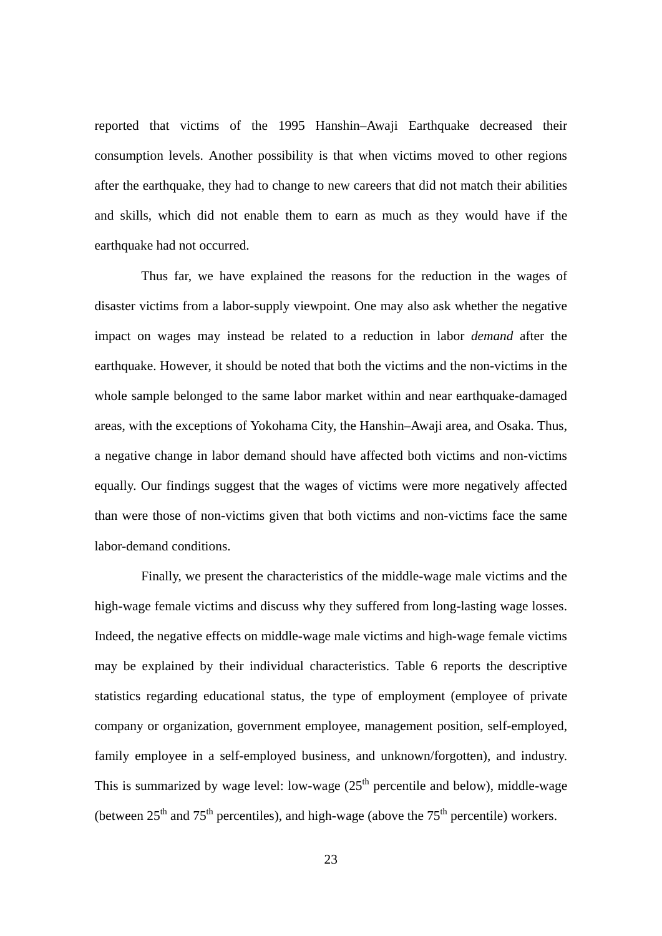reported that victims of the 1995 Hanshin–Awaji Earthquake decreased their consumption levels. Another possibility is that when victims moved to other regions after the earthquake, they had to change to new careers that did not match their abilities and skills, which did not enable them to earn as much as they would have if the earthquake had not occurred.

Thus far, we have explained the reasons for the reduction in the wages of disaster victims from a labor-supply viewpoint. One may also ask whether the negative impact on wages may instead be related to a reduction in labor *demand* after the earthquake. However, it should be noted that both the victims and the non-victims in the whole sample belonged to the same labor market within and near earthquake-damaged areas, with the exceptions of Yokohama City, the Hanshin–Awaji area, and Osaka. Thus, a negative change in labor demand should have affected both victims and non-victims equally. Our findings suggest that the wages of victims were more negatively affected than were those of non-victims given that both victims and non-victims face the same labor-demand conditions.

Finally, we present the characteristics of the middle-wage male victims and the high-wage female victims and discuss why they suffered from long-lasting wage losses. Indeed, the negative effects on middle-wage male victims and high-wage female victims may be explained by their individual characteristics. Table 6 reports the descriptive statistics regarding educational status, the type of employment (employee of private company or organization, government employee, management position, self-employed, family employee in a self-employed business, and unknown/forgotten), and industry. This is summarized by wage level: low-wage  $(25<sup>th</sup>$  percentile and below), middle-wage (between  $25<sup>th</sup>$  and  $75<sup>th</sup>$  percentiles), and high-wage (above the  $75<sup>th</sup>$  percentile) workers.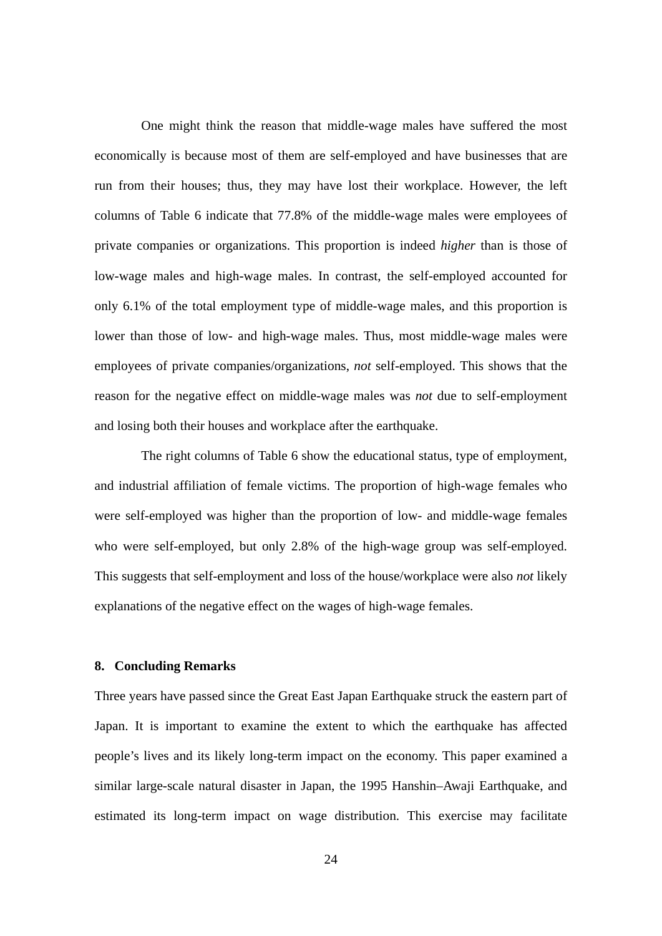One might think the reason that middle-wage males have suffered the most economically is because most of them are self-employed and have businesses that are run from their houses; thus, they may have lost their workplace. However, the left columns of Table 6 indicate that 77.8% of the middle-wage males were employees of private companies or organizations. This proportion is indeed *higher* than is those of low-wage males and high-wage males. In contrast, the self-employed accounted for only 6.1% of the total employment type of middle-wage males, and this proportion is lower than those of low- and high-wage males. Thus, most middle-wage males were employees of private companies/organizations, *not* self-employed. This shows that the reason for the negative effect on middle-wage males was *not* due to self-employment and losing both their houses and workplace after the earthquake.

The right columns of Table 6 show the educational status, type of employment, and industrial affiliation of female victims. The proportion of high-wage females who were self-employed was higher than the proportion of low- and middle-wage females who were self-employed, but only 2.8% of the high-wage group was self-employed. This suggests that self-employment and loss of the house/workplace were also *not* likely explanations of the negative effect on the wages of high-wage females.

#### **8. Concluding Remarks**

Three years have passed since the Great East Japan Earthquake struck the eastern part of Japan. It is important to examine the extent to which the earthquake has affected people's lives and its likely long-term impact on the economy. This paper examined a similar large-scale natural disaster in Japan, the 1995 Hanshin–Awaji Earthquake, and estimated its long-term impact on wage distribution. This exercise may facilitate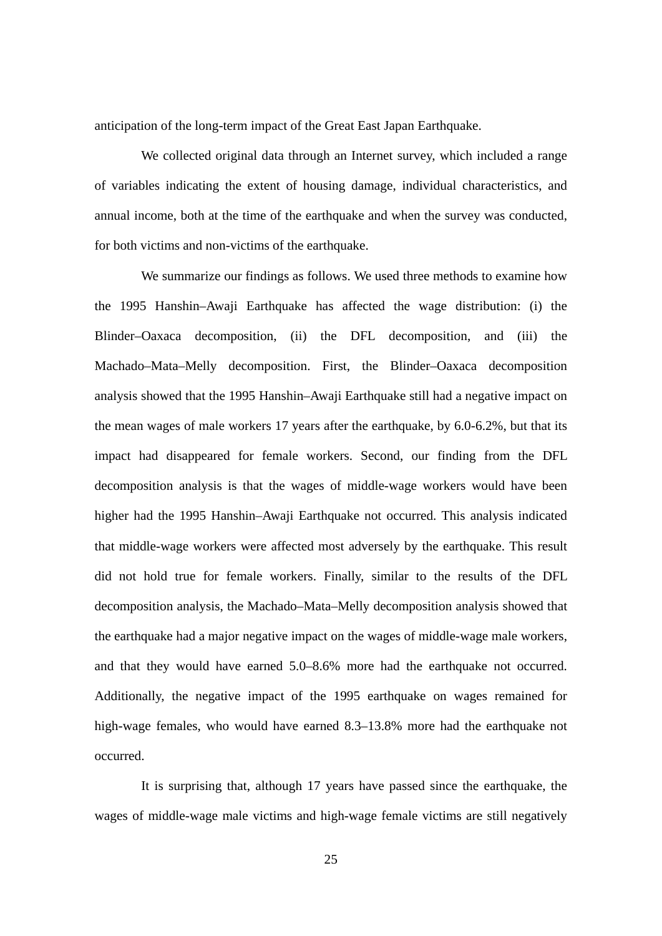anticipation of the long-term impact of the Great East Japan Earthquake.

We collected original data through an Internet survey, which included a range of variables indicating the extent of housing damage, individual characteristics, and annual income, both at the time of the earthquake and when the survey was conducted, for both victims and non-victims of the earthquake.

We summarize our findings as follows. We used three methods to examine how the 1995 Hanshin–Awaji Earthquake has affected the wage distribution: (i) the Blinder–Oaxaca decomposition, (ii) the DFL decomposition, and (iii) the Machado–Mata–Melly decomposition. First, the Blinder–Oaxaca decomposition analysis showed that the 1995 Hanshin–Awaji Earthquake still had a negative impact on the mean wages of male workers 17 years after the earthquake, by 6.0-6.2%, but that its impact had disappeared for female workers. Second, our finding from the DFL decomposition analysis is that the wages of middle-wage workers would have been higher had the 1995 Hanshin–Awaji Earthquake not occurred. This analysis indicated that middle-wage workers were affected most adversely by the earthquake. This result did not hold true for female workers. Finally, similar to the results of the DFL decomposition analysis, the Machado–Mata–Melly decomposition analysis showed that the earthquake had a major negative impact on the wages of middle-wage male workers, and that they would have earned 5.0–8.6% more had the earthquake not occurred. Additionally, the negative impact of the 1995 earthquake on wages remained for high-wage females, who would have earned 8.3–13.8% more had the earthquake not occurred.

It is surprising that, although 17 years have passed since the earthquake, the wages of middle-wage male victims and high-wage female victims are still negatively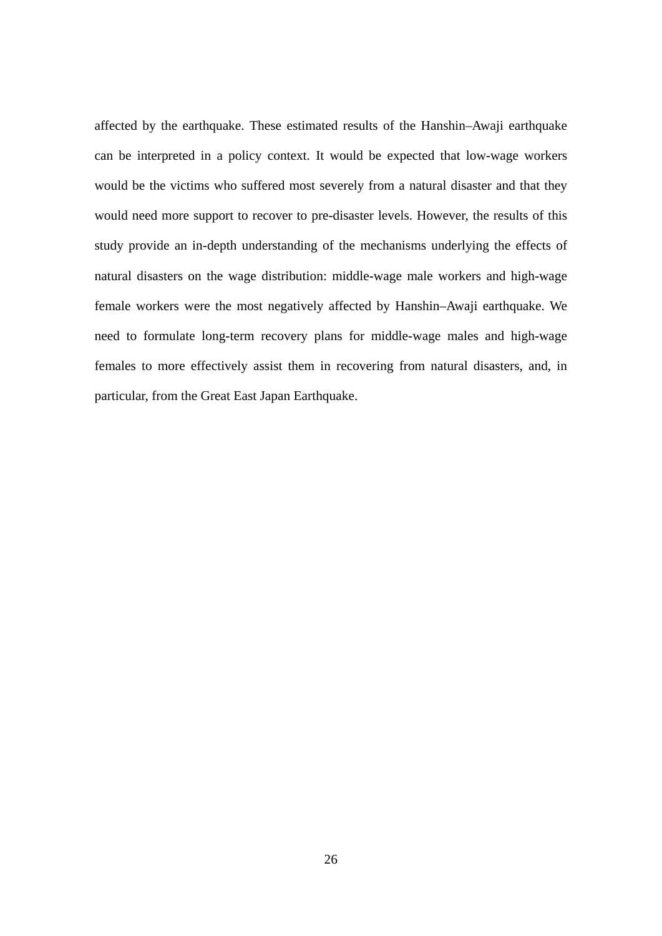affected by the earthquake. These estimated results of the Hanshin–Awaji earthquake can be interpreted in a policy context. It would be expected that low-wage workers would be the victims who suffered most severely from a natural disaster and that they would need more support to recover to pre-disaster levels. However, the results of this study provide an in-depth understanding of the mechanisms underlying the effects of natural disasters on the wage distribution: middle-wage male workers and high-wage female workers were the most negatively affected by Hanshin–Awaji earthquake. We need to formulate long-term recovery plans for middle-wage males and high-wage females to more effectively assist them in recovering from natural disasters, and, in particular, from the Great East Japan Earthquake.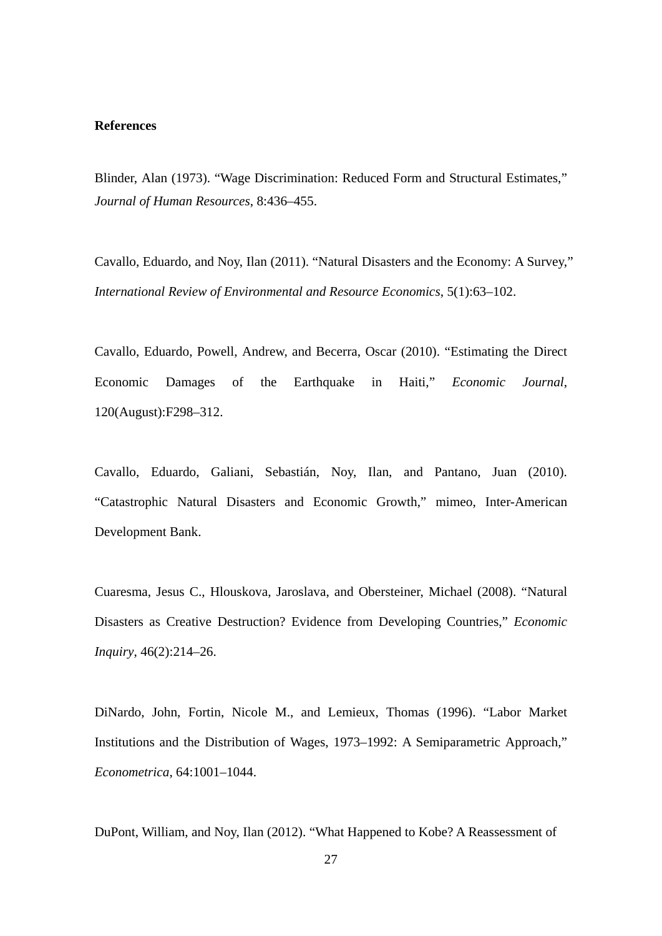#### **References**

Blinder, Alan (1973). "Wage Discrimination: Reduced Form and Structural Estimates," *Journal of Human Resources*, 8:436–455.

Cavallo, Eduardo, and Noy, Ilan (2011). "Natural Disasters and the Economy: A Survey," *International Review of Environmental and Resource Economics*, 5(1):63–102.

Cavallo, Eduardo, Powell, Andrew, and Becerra, Oscar (2010). "Estimating the Direct Economic Damages of the Earthquake in Haiti," *Economic Journal*, 120(August):F298–312.

Cavallo, Eduardo, Galiani, Sebastián, Noy, Ilan, and Pantano, Juan (2010). "Catastrophic Natural Disasters and Economic Growth," mimeo, Inter-American Development Bank.

Cuaresma, Jesus C., Hlouskova, Jaroslava, and Obersteiner, Michael (2008). "Natural Disasters as Creative Destruction? Evidence from Developing Countries," *Economic Inquiry*, 46(2):214–26.

DiNardo, John, Fortin, Nicole M., and Lemieux, Thomas (1996). "Labor Market Institutions and the Distribution of Wages, 1973–1992: A Semiparametric Approach," *Econometrica*, 64:1001–1044.

DuPont, William, and Noy, Ilan (2012). "What Happened to Kobe? A Reassessment of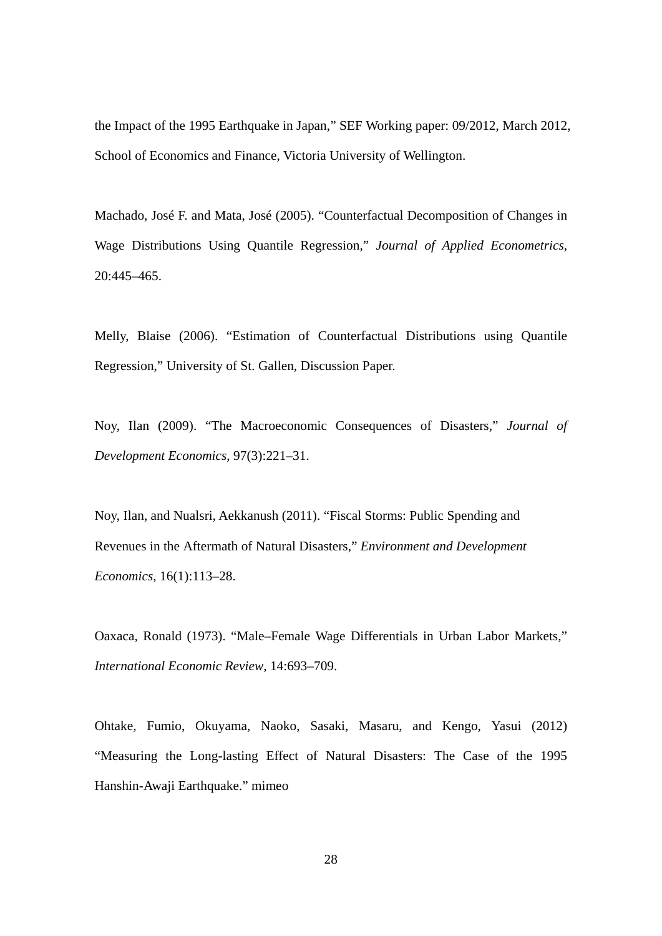the Impact of the 1995 Earthquake in Japan," SEF Working paper: 09/2012, March 2012, School of Economics and Finance, Victoria University of Wellington.

Machado, José F. and Mata, José (2005). "Counterfactual Decomposition of Changes in Wage Distributions Using Quantile Regression," *Journal of Applied Econometrics*, 20:445–465.

Melly, Blaise (2006). "Estimation of Counterfactual Distributions using Quantile Regression," University of St. Gallen, Discussion Paper.

Noy, Ilan (2009). "The Macroeconomic Consequences of Disasters," *Journal of Development Economics*, 97(3):221–31.

Noy, Ilan, and Nualsri, Aekkanush (2011). "Fiscal Storms: Public Spending and Revenues in the Aftermath of Natural Disasters," *Environment and Development Economics*, 16(1):113–28.

Oaxaca, Ronald (1973). "Male–Female Wage Differentials in Urban Labor Markets," *International Economic Review*, 14:693–709.

Ohtake, Fumio, Okuyama, Naoko, Sasaki, Masaru, and Kengo, Yasui (2012) "Measuring the Long-lasting Effect of Natural Disasters: The Case of the 1995 Hanshin-Awaji Earthquake." mimeo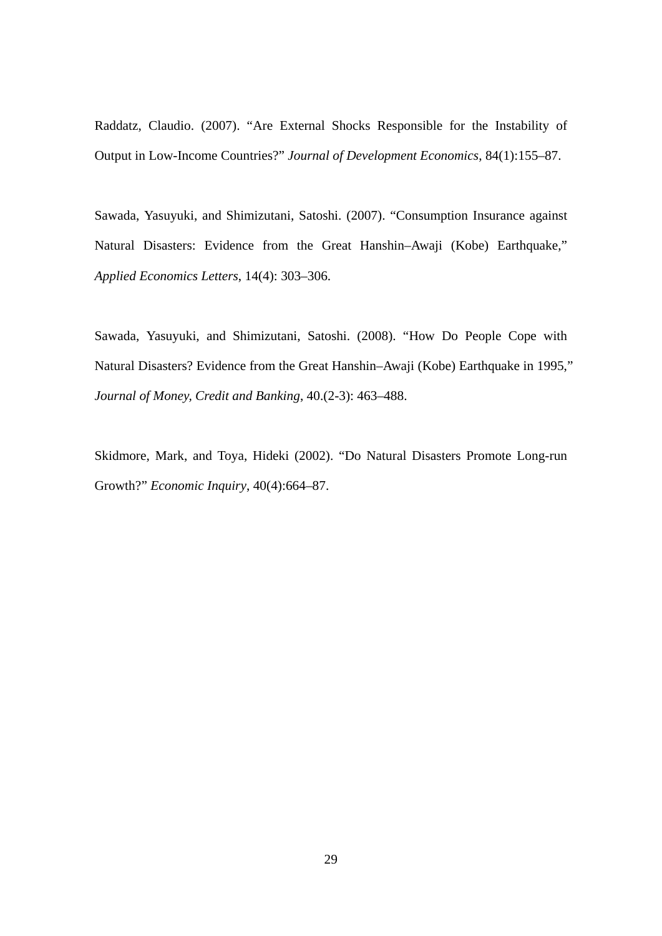Raddatz, Claudio. (2007). "Are External Shocks Responsible for the Instability of Output in Low-Income Countries?" *Journal of Development Economics*, 84(1):155–87.

Sawada, Yasuyuki, and Shimizutani, Satoshi. (2007). "Consumption Insurance against Natural Disasters: Evidence from the Great Hanshin–Awaji (Kobe) Earthquake," *Applied Economics Letters*, 14(4): 303–306.

Sawada, Yasuyuki, and Shimizutani, Satoshi. (2008). "How Do People Cope with Natural Disasters? Evidence from the Great Hanshin–Awaji (Kobe) Earthquake in 1995," *Journal of Money, Credit and Banking*, 40.(2-3): 463–488.

Skidmore, Mark, and Toya, Hideki (2002). "Do Natural Disasters Promote Long-run Growth?" *Economic Inquiry*, 40(4):664–87.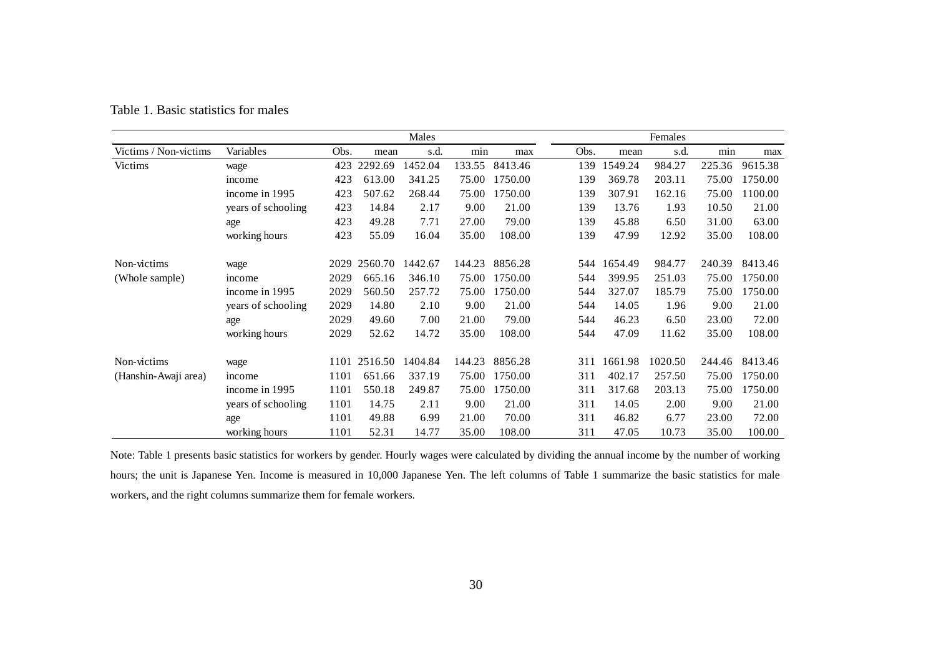|                       |                    |      |         | Males   |        |         |      |     |         | Females |        |         |
|-----------------------|--------------------|------|---------|---------|--------|---------|------|-----|---------|---------|--------|---------|
| Victims / Non-victims | Variables          | Obs. | mean    | s.d.    | min    | max     | Obs. |     | mean    | s.d.    | min    | max     |
| Victims               | wage               | 423  | 2292.69 | 1452.04 | 133.55 | 8413.46 |      | 139 | 1549.24 | 984.27  | 225.36 | 9615.38 |
|                       | income             | 423  | 613.00  | 341.25  | 75.00  | 1750.00 |      | 139 | 369.78  | 203.11  | 75.00  | 1750.00 |
|                       | income in 1995     | 423  | 507.62  | 268.44  | 75.00  | 1750.00 |      | 139 | 307.91  | 162.16  | 75.00  | 1100.00 |
|                       | years of schooling | 423  | 14.84   | 2.17    | 9.00   | 21.00   |      | 139 | 13.76   | 1.93    | 10.50  | 21.00   |
|                       | age                | 423  | 49.28   | 7.71    | 27.00  | 79.00   |      | 139 | 45.88   | 6.50    | 31.00  | 63.00   |
|                       | working hours      | 423  | 55.09   | 16.04   | 35.00  | 108.00  |      | 139 | 47.99   | 12.92   | 35.00  | 108.00  |
| Non-victims           | wage               | 2029 | 2560.70 | 1442.67 | 144.23 | 8856.28 |      | 544 | 1654.49 | 984.77  | 240.39 | 8413.46 |
| (Whole sample)        | income             | 2029 | 665.16  | 346.10  | 75.00  | 1750.00 |      | 544 | 399.95  | 251.03  | 75.00  | 1750.00 |
|                       | income in 1995     | 2029 | 560.50  | 257.72  | 75.00  | 1750.00 |      | 544 | 327.07  | 185.79  | 75.00  | 1750.00 |
|                       | years of schooling | 2029 | 14.80   | 2.10    | 9.00   | 21.00   |      | 544 | 14.05   | 1.96    | 9.00   | 21.00   |
|                       | age                | 2029 | 49.60   | 7.00    | 21.00  | 79.00   |      | 544 | 46.23   | 6.50    | 23.00  | 72.00   |
|                       | working hours      | 2029 | 52.62   | 14.72   | 35.00  | 108.00  |      | 544 | 47.09   | 11.62   | 35.00  | 108.00  |
| Non-victims           | wage               | 1101 | 2516.50 | 1404.84 | 144.23 | 8856.28 |      | 311 | 1661.98 | 1020.50 | 244.46 | 8413.46 |
| (Hanshin-Awaji area)  | income             | 1101 | 651.66  | 337.19  | 75.00  | 1750.00 |      | 311 | 402.17  | 257.50  | 75.00  | 1750.00 |
|                       | income in 1995     | 1101 | 550.18  | 249.87  | 75.00  | 1750.00 |      | 311 | 317.68  | 203.13  | 75.00  | 1750.00 |
|                       | years of schooling | 1101 | 14.75   | 2.11    | 9.00   | 21.00   |      | 311 | 14.05   | 2.00    | 9.00   | 21.00   |
|                       | age                | 1101 | 49.88   | 6.99    | 21.00  | 70.00   |      | 311 | 46.82   | 6.77    | 23.00  | 72.00   |
|                       | working hours      | 1101 | 52.31   | 14.77   | 35.00  | 108.00  |      | 311 | 47.05   | 10.73   | 35.00  | 100.00  |

Table 1. Basic statistics for males

Note: Table 1 presents basic statistics for workers by gender. Hourly wages were calculated by dividing the annual income by the number of working hours; the unit is Japanese Yen. Income is measured in 10,000 Japanese Yen. The left columns of Table 1 summarize the basic statistics for male workers, and the right columns summarize them for female workers.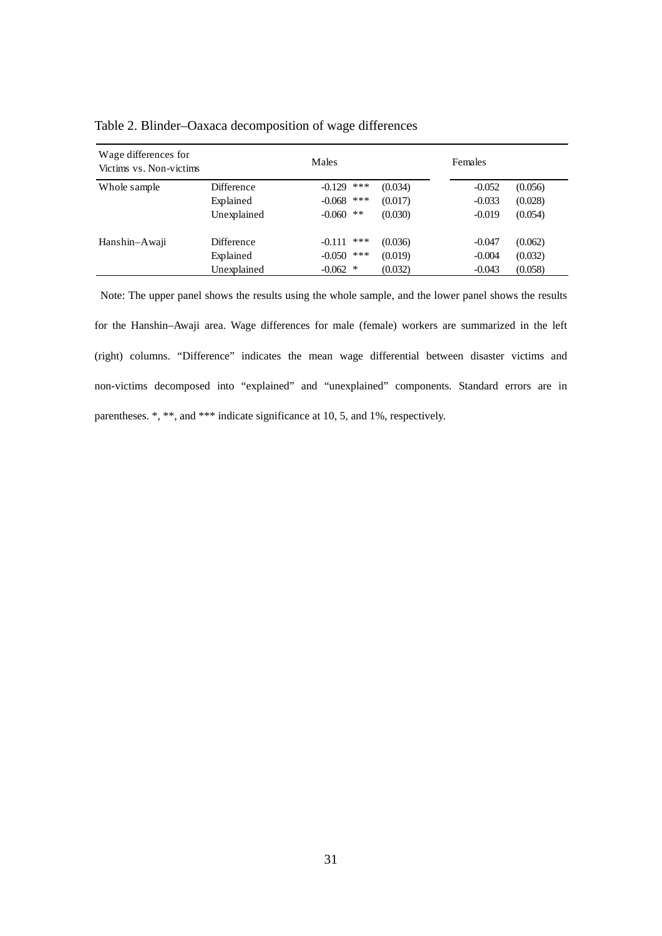| Wage differences for<br>Victims vs. Non-victims |             | Males                  |         | Females  |         |
|-------------------------------------------------|-------------|------------------------|---------|----------|---------|
| Whole sample                                    | Difference  | ***<br>$-0.129$        | (0.034) | $-0.052$ | (0.056) |
|                                                 | Explained   | ***<br>$-0.068$        | (0.017) | $-0.033$ | (0.028) |
|                                                 | Unexplained | $\ast\ast$<br>$-0.060$ | (0.030) | $-0.019$ | (0.054) |
| Hanshin–Awaji                                   | Difference  | ***<br>$-0.111$        | (0.036) | $-0.047$ | (0.062) |
|                                                 | Explained   | ***<br>$-0.050$        | (0.019) | $-0.004$ | (0.032) |
|                                                 | Unexplained | $-0.062$<br>∗          | (0.032) | $-0.043$ | (0.058) |

Table 2. Blinder–Oaxaca decomposition of wage differences

Note: The upper panel shows the results using the whole sample, and the lower panel shows the results for the Hanshin–Awaji area. Wage differences for male (female) workers are summarized in the left (right) columns. "Difference" indicates the mean wage differential between disaster victims and non-victims decomposed into "explained" and "unexplained" components. Standard errors are in parentheses. \*, \*\*, and \*\*\* indicate significance at 10, 5, and 1%, respectively.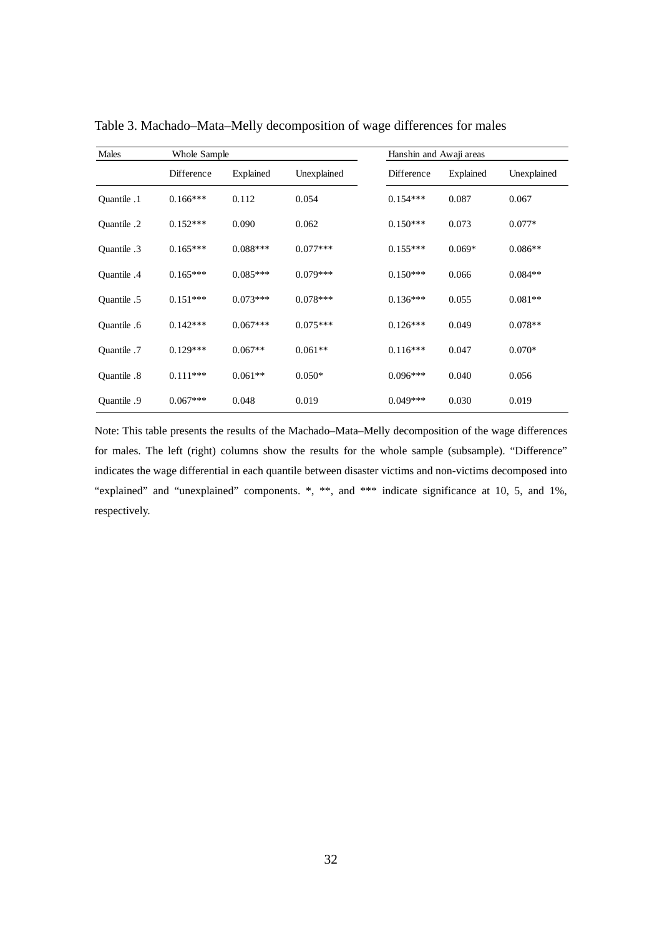| Males       | Whole Sample |            |             | Hanshin and Awaji areas |           |             |
|-------------|--------------|------------|-------------|-------------------------|-----------|-------------|
|             | Difference   | Explained  | Unexplained | Difference              | Explained | Unexplained |
| Quantile .1 | $0.166***$   | 0.112      | 0.054       | $0.154***$              | 0.087     | 0.067       |
| Quantile .2 | $0.152***$   | 0.090      | 0.062       | $0.150***$              | 0.073     | $0.077*$    |
| Quantile .3 | $0.165***$   | $0.088***$ | $0.077***$  | $0.155***$              | $0.069*$  | $0.086**$   |
| Ouantile .4 | $0.165***$   | $0.085***$ | $0.079***$  | $0.150***$              | 0.066     | $0.084**$   |
| Ouantile .5 | $0.151***$   | $0.073***$ | $0.078***$  | $0.136***$              | 0.055     | $0.081**$   |
| Quantile .6 | $0.142***$   | $0.067***$ | $0.075***$  | $0.126***$              | 0.049     | $0.078**$   |
| Quantile .7 | $0.129***$   | $0.067**$  | $0.061**$   | $0.116***$              | 0.047     | $0.070*$    |
| Ouantile .8 | $0.111***$   | $0.061**$  | $0.050*$    | $0.096***$              | 0.040     | 0.056       |
| Ouantile .9 | $0.067***$   | 0.048      | 0.019       | $0.049***$              | 0.030     | 0.019       |

Table 3. Machado–Mata–Melly decomposition of wage differences for males

Note: This table presents the results of the Machado–Mata–Melly decomposition of the wage differences for males. The left (right) columns show the results for the whole sample (subsample). "Difference" indicates the wage differential in each quantile between disaster victims and non-victims decomposed into "explained" and "unexplained" components. \*, \*\*, and \*\*\* indicate significance at 10, 5, and 1%, respectively.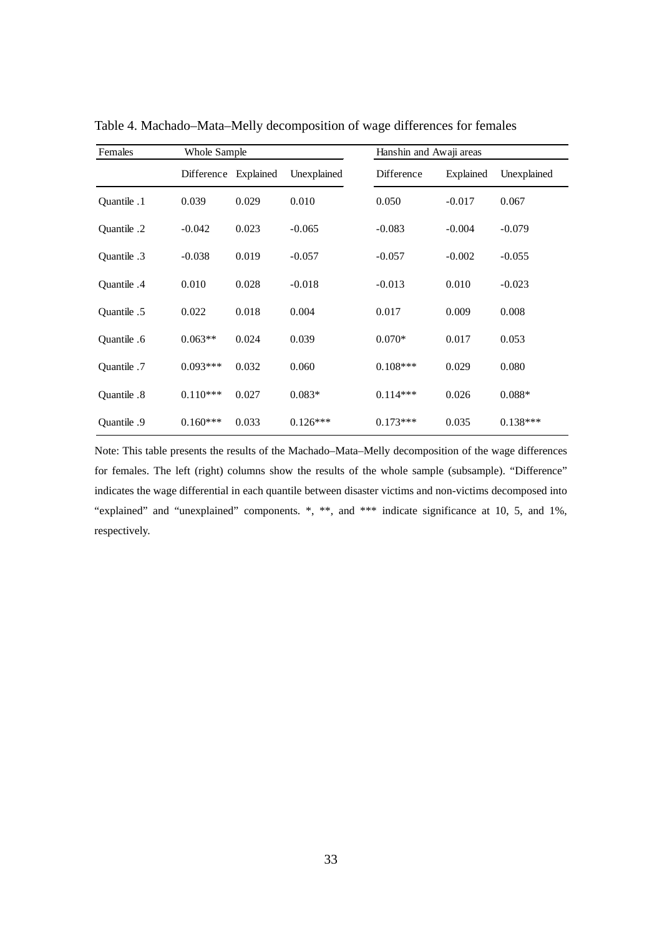| Females     | Whole Sample         |       |             | Hanshin and Awaji areas |           |             |
|-------------|----------------------|-------|-------------|-------------------------|-----------|-------------|
|             | Difference Explained |       | Unexplained | Difference              | Explained | Unexplained |
| Quantile .1 | 0.039                | 0.029 | 0.010       | 0.050                   | $-0.017$  | 0.067       |
| Quantile .2 | $-0.042$             | 0.023 | $-0.065$    | $-0.083$                | $-0.004$  | $-0.079$    |
| Quantile .3 | $-0.038$             | 0.019 | $-0.057$    | $-0.057$                | $-0.002$  | $-0.055$    |
| Quantile .4 | 0.010                | 0.028 | $-0.018$    | $-0.013$                | 0.010     | $-0.023$    |
| Quantile .5 | 0.022                | 0.018 | 0.004       | 0.017                   | 0.009     | 0.008       |
| Quantile .6 | $0.063**$            | 0.024 | 0.039       | $0.070*$                | 0.017     | 0.053       |
| Quantile .7 | $0.093***$           | 0.032 | 0.060       | $0.108***$              | 0.029     | 0.080       |
| Quantile .8 | $0.110***$           | 0.027 | $0.083*$    | $0.114***$              | 0.026     | $0.088*$    |
| Quantile .9 | $0.160***$           | 0.033 | $0.126***$  | $0.173***$              | 0.035     | $0.138***$  |

Table 4. Machado–Mata–Melly decomposition of wage differences for females

Note: This table presents the results of the Machado–Mata–Melly decomposition of the wage differences for females. The left (right) columns show the results of the whole sample (subsample). "Difference" indicates the wage differential in each quantile between disaster victims and non-victims decomposed into "explained" and "unexplained" components. \*, \*\*, and \*\*\* indicate significance at 10, 5, and 1%, respectively.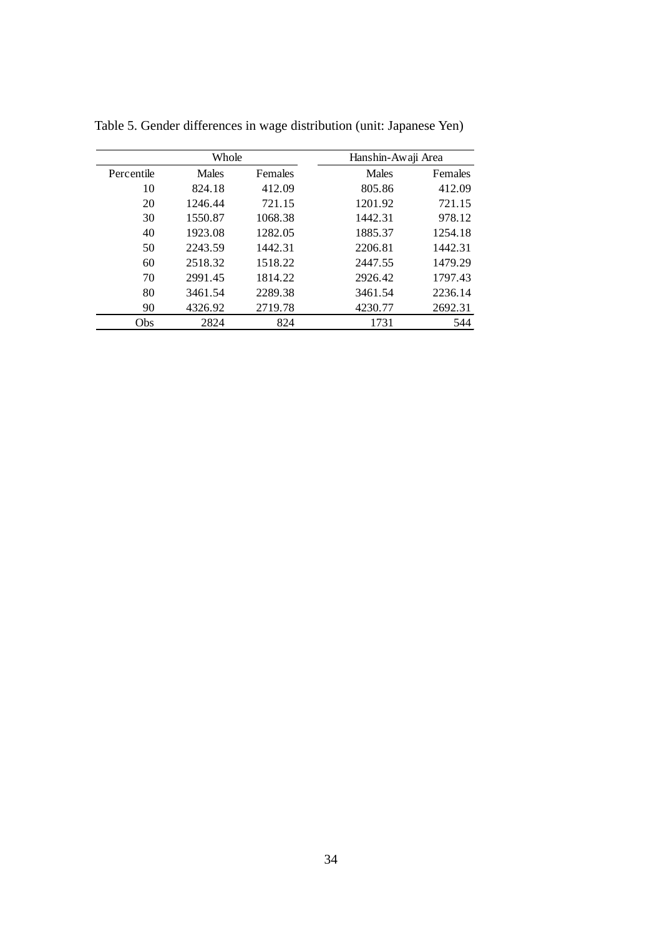|            | Whole   |         | Hanshin-Awaji Area |         |
|------------|---------|---------|--------------------|---------|
| Percentile | Males   | Females | Males              | Females |
| 10         | 824.18  | 412.09  | 805.86             | 412.09  |
| 20         | 1246.44 | 721.15  | 1201.92            | 721.15  |
| 30         | 1550.87 | 1068.38 | 1442.31            | 978.12  |
| 40         | 1923.08 | 1282.05 | 1885.37            | 1254.18 |
| 50         | 2243.59 | 1442.31 | 2206.81            | 1442.31 |
| 60         | 2518.32 | 1518.22 | 2447.55            | 1479.29 |
| 70         | 2991.45 | 1814.22 | 2926.42            | 1797.43 |
| 80         | 3461.54 | 2289.38 | 3461.54            | 2236.14 |
| 90         | 4326.92 | 2719.78 | 4230.77            | 2692.31 |
| Obs        | 2824    | 824     | 1731               | 544     |

Table 5. Gender differences in wage distribution (unit: Japanese Yen)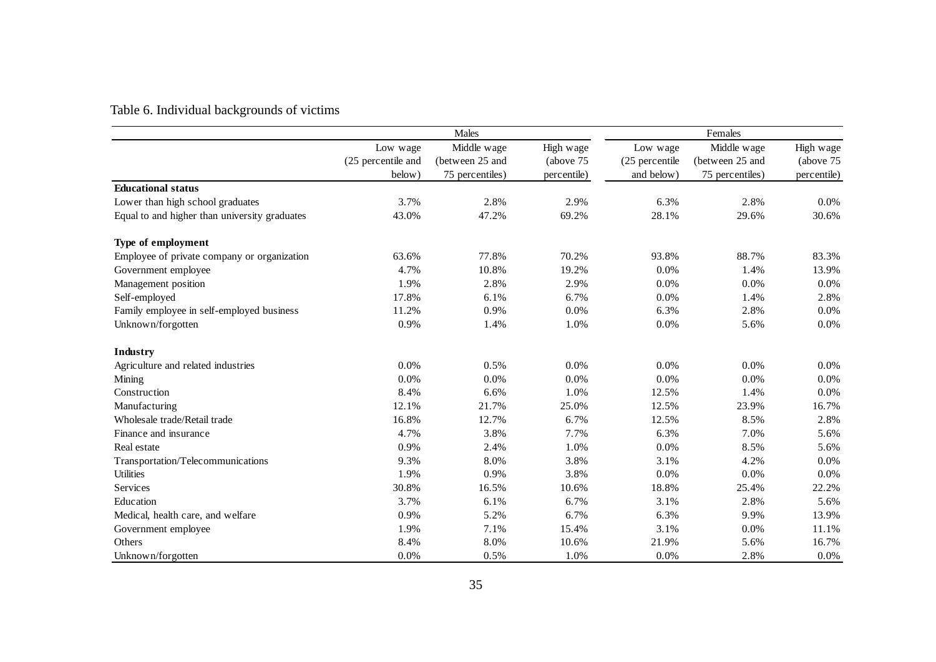# Table 6. Individual backgrounds of victims

|                                               |                    | Males           |             |                | Females         |             |
|-----------------------------------------------|--------------------|-----------------|-------------|----------------|-----------------|-------------|
|                                               | Low wage           | Middle wage     | High wage   | Low wage       | Middle wage     | High wage   |
|                                               | (25 percentile and | (between 25 and | (above 75)  | (25 percentile | (between 25 and | (above 75)  |
|                                               | below)             | 75 percentiles) | percentile) | and below)     | 75 percentiles) | percentile) |
| <b>Educational status</b>                     |                    |                 |             |                |                 |             |
| Lower than high school graduates              | 3.7%               | 2.8%            | 2.9%        | 6.3%           | 2.8%            | $0.0\%$     |
| Equal to and higher than university graduates | 43.0%              | 47.2%           | 69.2%       | 28.1%          | 29.6%           | 30.6%       |
| Type of employment                            |                    |                 |             |                |                 |             |
| Employee of private company or organization   | 63.6%              | 77.8%           | 70.2%       | 93.8%          | 88.7%           | 83.3%       |
| Government employee                           | 4.7%               | 10.8%           | 19.2%       | 0.0%           | 1.4%            | 13.9%       |
| Management position                           | 1.9%               | 2.8%            | 2.9%        | 0.0%           | 0.0%            | 0.0%        |
| Self-employed                                 | 17.8%              | 6.1%            | 6.7%        | 0.0%           | 1.4%            | 2.8%        |
| Family employee in self-employed business     | 11.2%              | 0.9%            | 0.0%        | 6.3%           | 2.8%            | 0.0%        |
| Unknown/forgotten                             | 0.9%               | 1.4%            | 1.0%        | 0.0%           | 5.6%            | 0.0%        |
| Industry                                      |                    |                 |             |                |                 |             |
| Agriculture and related industries            | 0.0%               | 0.5%            | 0.0%        | 0.0%           | 0.0%            | 0.0%        |
| Mining                                        | 0.0%               | 0.0%            | 0.0%        | 0.0%           | 0.0%            | 0.0%        |
| Construction                                  | 8.4%               | 6.6%            | 1.0%        | 12.5%          | 1.4%            | 0.0%        |
| Manufacturing                                 | 12.1%              | 21.7%           | 25.0%       | 12.5%          | 23.9%           | 16.7%       |
| Wholesale trade/Retail trade                  | 16.8%              | 12.7%           | 6.7%        | 12.5%          | 8.5%            | 2.8%        |
| Finance and insurance                         | 4.7%               | 3.8%            | 7.7%        | 6.3%           | 7.0%            | 5.6%        |
| Real estate                                   | 0.9%               | 2.4%            | 1.0%        | 0.0%           | 8.5%            | 5.6%        |
| Transportation/Telecommunications             | 9.3%               | 8.0%            | 3.8%        | 3.1%           | 4.2%            | 0.0%        |
| Utilities                                     | 1.9%               | 0.9%            | 3.8%        | 0.0%           | 0.0%            | 0.0%        |
| Services                                      | 30.8%              | 16.5%           | 10.6%       | 18.8%          | 25.4%           | 22.2%       |
| Education                                     | 3.7%               | 6.1%            | 6.7%        | 3.1%           | 2.8%            | 5.6%        |
| Medical, health care, and welfare             | 0.9%               | 5.2%            | 6.7%        | 6.3%           | 9.9%            | 13.9%       |
| Government employee                           | 1.9%               | 7.1%            | 15.4%       | 3.1%           | 0.0%            | 11.1%       |
| Others                                        | 8.4%               | 8.0%            | 10.6%       | 21.9%          | 5.6%            | 16.7%       |
| Unknown/forgotten                             | 0.0%               | 0.5%            | 1.0%        | 0.0%           | 2.8%            | 0.0%        |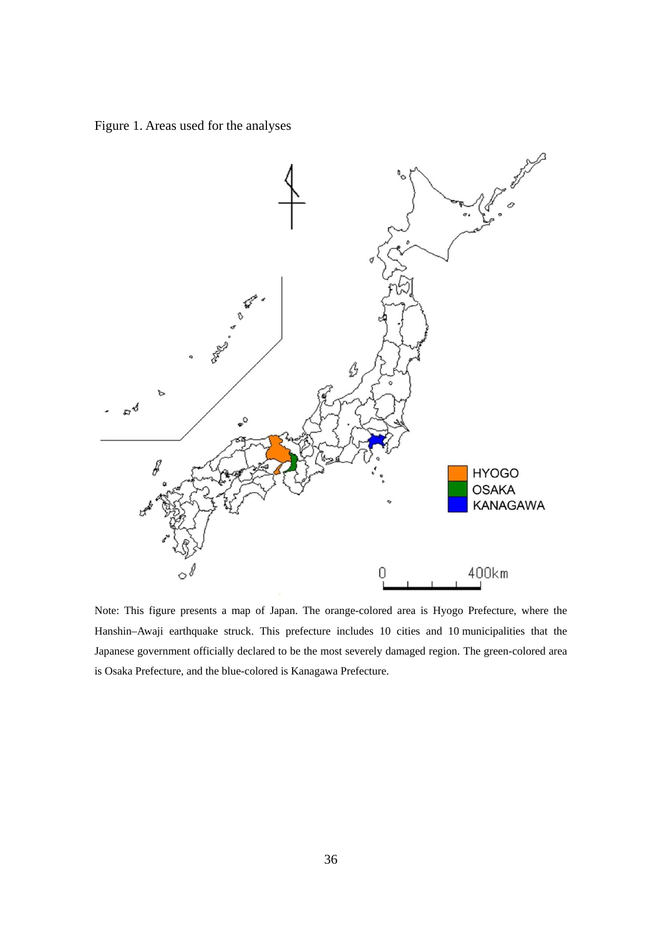Figure 1. Areas used for the analyses



Note: This figure presents a map of Japan. The orange-colored area is Hyogo Prefecture, where the Hanshin–Awaji earthquake struck. This prefecture includes 10 cities and 10 municipalities that the Japanese government officially declared to be the most severely damaged region. The green-colored area is Osaka Prefecture, and the blue-colored is Kanagawa Prefecture.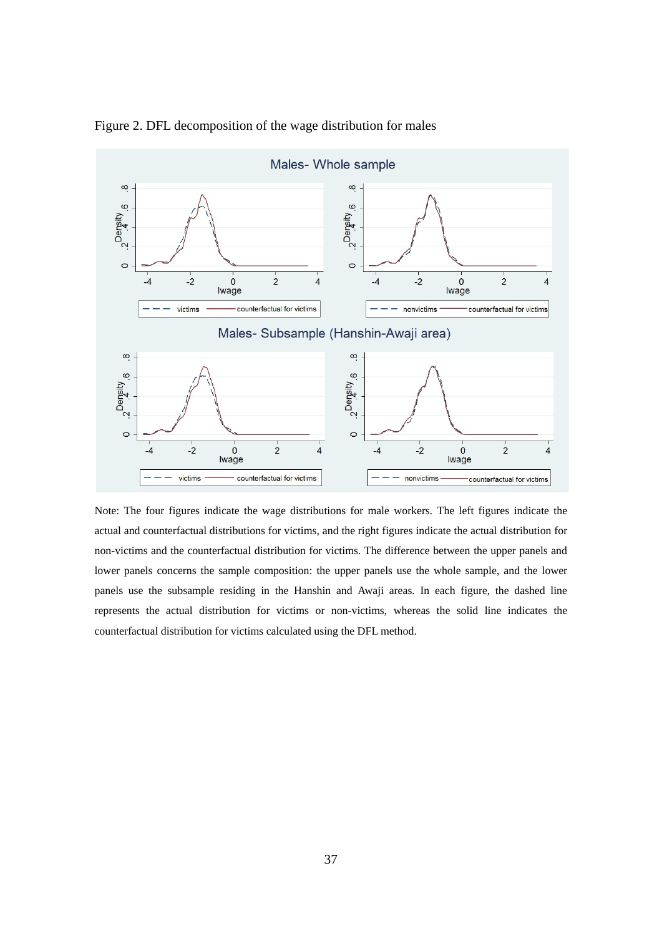

Figure 2. DFL decomposition of the wage distribution for males

Note: The four figures indicate the wage distributions for male workers. The left figures indicate the actual and counterfactual distributions for victims, and the right figures indicate the actual distribution for non-victims and the counterfactual distribution for victims. The difference between the upper panels and lower panels concerns the sample composition: the upper panels use the whole sample, and the lower panels use the subsample residing in the Hanshin and Awaji areas. In each figure, the dashed line represents the actual distribution for victims or non-victims, whereas the solid line indicates the counterfactual distribution for victims calculated using the DFL method.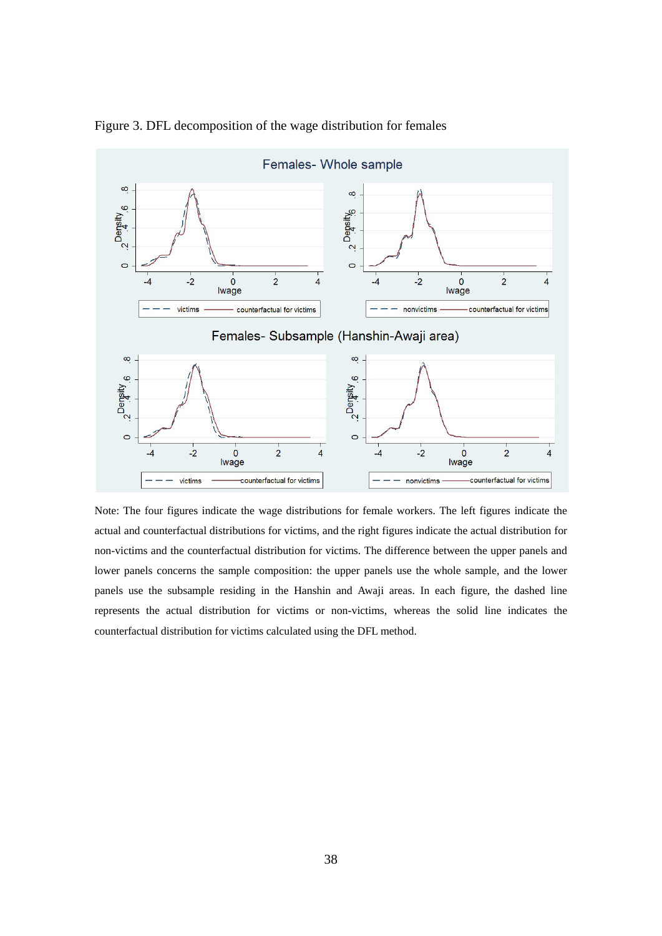

Figure 3. DFL decomposition of the wage distribution for females

Note: The four figures indicate the wage distributions for female workers. The left figures indicate the actual and counterfactual distributions for victims, and the right figures indicate the actual distribution for non-victims and the counterfactual distribution for victims. The difference between the upper panels and lower panels concerns the sample composition: the upper panels use the whole sample, and the lower panels use the subsample residing in the Hanshin and Awaji areas. In each figure, the dashed line represents the actual distribution for victims or non-victims, whereas the solid line indicates the counterfactual distribution for victims calculated using the DFL method.